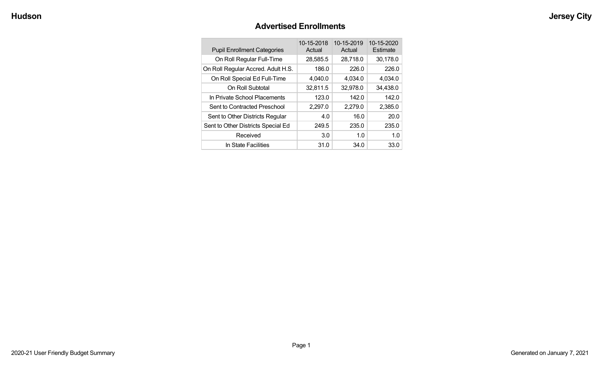## **Advertised Enrollments**

| <b>Pupil Enrollment Categories</b> | 10-15-2018<br>Actual | 10-15-2019<br>Actual | 10-15-2020<br>Estimate |
|------------------------------------|----------------------|----------------------|------------------------|
| On Roll Regular Full-Time          | 28,585.5             | 28,718.0             | 30,178.0               |
| On Roll Regular Accred. Adult H.S. | 186.0                | 226.0                | 226.0                  |
| On Roll Special Ed Full-Time       | 4,040.0              | 4,034.0              | 4,034.0                |
| On Roll Subtotal                   | 32,811.5             | 32,978.0             | 34,438.0               |
| In Private School Placements       | 123.0                | 142.0                | 142.0                  |
| Sent to Contracted Preschool       | 2,297.0              | 2,279.0              | 2,385.0                |
| Sent to Other Districts Regular    | 4.0                  | 16.0                 | 20.0                   |
| Sent to Other Districts Special Ed | 249.5                | 235.0                | 235.0                  |
| Received                           | 3.0                  | 1.0                  | 1.0                    |
| In State Facilities                | 31.0                 | 34.0                 | 33.0                   |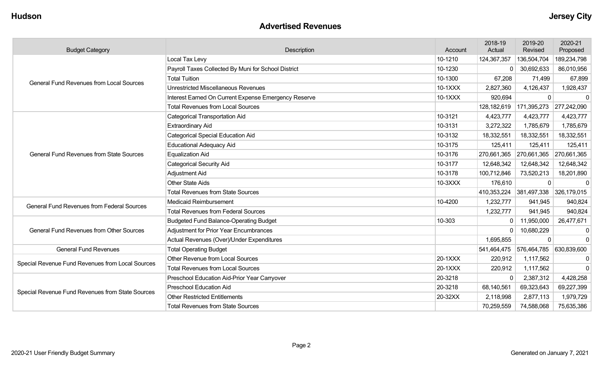#### **Advertised Revenues**

| <b>Budget Category</b>                            | Description                                          | Account | 2018-19<br>Actual | 2019-20<br>Revised | 2020-21<br>Proposed |
|---------------------------------------------------|------------------------------------------------------|---------|-------------------|--------------------|---------------------|
|                                                   | Local Tax Levy                                       | 10-1210 | 124,367,357       | 136,504,704        | 189,234,798         |
|                                                   | Payroll Taxes Collected By Muni for School District  | 10-1230 | $\mathbf{0}$      | 30,692,633         | 86,010,956          |
| <b>General Fund Revenues from Local Sources</b>   | <b>Total Tuition</b>                                 | 10-1300 | 67,208            | 71,499             | 67,899              |
|                                                   | <b>Unrestricted Miscellaneous Revenues</b>           | 10-1XXX | 2,827,360         | 4,126,437          | 1,928,437           |
|                                                   | Interest Earned On Current Expense Emergency Reserve | 10-1XXX | 920,694           | 0                  | $\mathbf{0}$        |
|                                                   | <b>Total Revenues from Local Sources</b>             |         | 128,182,619       | 171,395,273        | 277,242,090         |
|                                                   | <b>Categorical Transportation Aid</b>                | 10-3121 | 4,423,777         | 4,423,777          | 4,423,777           |
|                                                   | <b>Extraordinary Aid</b>                             | 10-3131 | 3,272,322         | 1,785,679          | 1,785,679           |
|                                                   | <b>Categorical Special Education Aid</b>             | 10-3132 | 18,332,551        | 18,332,551         | 18,332,551          |
|                                                   | <b>Educational Adequacy Aid</b>                      | 10-3175 | 125,411           | 125,411            | 125,411             |
| <b>General Fund Revenues from State Sources</b>   | <b>Equalization Aid</b>                              | 10-3176 | 270,661,365       | 270,661,365        | 270,661,365         |
|                                                   | <b>Categorical Security Aid</b>                      | 10-3177 | 12,648,342        | 12,648,342         | 12,648,342          |
|                                                   | Adjustment Aid                                       | 10-3178 | 100,712,846       | 73,520,213         | 18,201,890          |
|                                                   | <b>Other State Aids</b>                              | 10-3XXX | 176,610           | $\mathbf 0$        | $\mathbf 0$         |
|                                                   | <b>Total Revenues from State Sources</b>             |         | 410,353,224       | 381,497,338        | 326,179,015         |
| <b>General Fund Revenues from Federal Sources</b> | <b>Medicaid Reimbursement</b>                        | 10-4200 | 1,232,777         | 941,945            | 940,824             |
|                                                   | <b>Total Revenues from Federal Sources</b>           |         | 1,232,777         | 941,945            | 940,824             |
|                                                   | <b>Budgeted Fund Balance-Operating Budget</b>        | 10-303  | $\mathbf{0}$      | 11,950,000         | 26,477,671          |
| <b>General Fund Revenues from Other Sources</b>   | Adjustment for Prior Year Encumbrances               |         | $\Omega$          | 10,680,229         | $\mathbf{0}$        |
|                                                   | Actual Revenues (Over)/Under Expenditures            |         | 1,695,855         | $\Omega$           | $\Omega$            |
| <b>General Fund Revenues</b>                      | <b>Total Operating Budget</b>                        |         | 541,464,475       | 576,464,785        | 630,839,600         |
| Special Revenue Fund Revenues from Local Sources  | Other Revenue from Local Sources                     | 20-1XXX | 220,912           | 1,117,562          | 0                   |
|                                                   | <b>Total Revenues from Local Sources</b>             | 20-1XXX | 220,912           | 1,117,562          | $\Omega$            |
|                                                   | Preschool Education Aid-Prior Year Carryover         | 20-3218 | $\Omega$          | 2,387,312          | 4,428,258           |
| Special Revenue Fund Revenues from State Sources  | <b>Preschool Education Aid</b>                       | 20-3218 | 68,140,561        | 69,323,643         | 69,227,399          |
|                                                   | <b>Other Restricted Entitlements</b>                 | 20-32XX | 2,118,998         | 2,877,113          | 1,979,729           |
|                                                   | <b>Total Revenues from State Sources</b>             |         | 70,259,559        | 74,588,068         | 75,635,386          |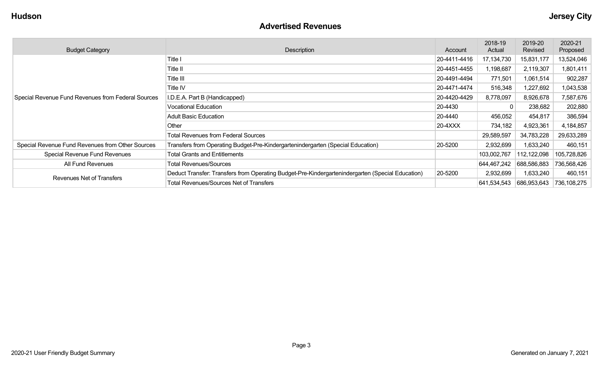#### **Advertised Revenues**

| <b>Budget Category</b>                             | Description                                                                                      | Account      | 2018-19<br>Actual | 2019-20<br>Revised | 2020-21<br>Proposed |
|----------------------------------------------------|--------------------------------------------------------------------------------------------------|--------------|-------------------|--------------------|---------------------|
|                                                    | Title I                                                                                          | 20-4411-4416 | 17,134,730        | 15,831,177         | 13,524,046          |
|                                                    | Title II                                                                                         | 20-4451-4455 | 1,198,687         | 2,119,307          | 1,801,411           |
|                                                    | Title III                                                                                        | 20-4491-4494 | 771,501           | 1,061,514          | 902,287             |
|                                                    | Title IV                                                                                         | 20-4471-4474 | 516,348           | 1,227,692          | 1,043,538           |
| Special Revenue Fund Revenues from Federal Sources | I.D.E.A. Part B (Handicapped)                                                                    | 20-4420-4429 | 8,778,097         | 8,926,678          | 7,587,676           |
|                                                    | <b>Vocational Education</b>                                                                      | 20-4430      | 0                 | 238,682            | 202,880             |
|                                                    | <b>Adult Basic Education</b>                                                                     | 20-4440      | 456,052           | 454,817            | 386,594             |
|                                                    | Other                                                                                            | $20-4XXX$    | 734,182           | 4,923,361          | 4,184,857           |
|                                                    | <b>Total Revenues from Federal Sources</b>                                                       |              | 29,589,597        | 34,783,228         | 29,633,289          |
| Special Revenue Fund Revenues from Other Sources   | Transfers from Operating Budget-Pre-Kindergartenindergarten (Special Education)                  | 20-5200      | 2,932,699         | 1,633,240          | 460,151             |
| Special Revenue Fund Revenues                      | <b>Total Grants and Entitlements</b>                                                             |              | 103,002,767       | 12,122,098         | 105,728,826         |
| All Fund Revenues                                  | <b>Total Revenues/Sources</b>                                                                    |              | 644,467,242       | 688,586,883        | 736,568,426         |
|                                                    | Deduct Transfer: Transfers from Operating Budget-Pre-Kindergartenindergarten (Special Education) | 20-5200      | 2,932,699         | 1,633,240          | 460,151             |
| Revenues Net of Transfers                          | <b>Total Revenues/Sources Net of Transfers</b>                                                   |              | 641,534,543       | 686,953,643        | 736,108,275         |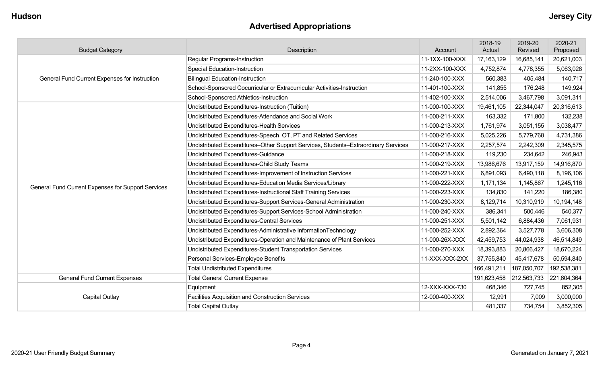## **Advertised Appropriations**

| <b>Budget Category</b>                             | Description                                                                        | Account        | 2018-19<br>Actual | 2019-20<br>Revised | 2020-21<br>Proposed |
|----------------------------------------------------|------------------------------------------------------------------------------------|----------------|-------------------|--------------------|---------------------|
|                                                    | Regular Programs-Instruction                                                       | 11-1XX-100-XXX | 17, 163, 129      | 16,685,141         | 20,621,003          |
|                                                    | Special Education-Instruction                                                      | 11-2XX-100-XXX | 4,752,874         | 4,778,355          | 5,063,028           |
| General Fund Current Expenses for Instruction      | <b>Bilingual Education-Instruction</b>                                             | 11-240-100-XXX | 560,383           | 405,484            | 140,717             |
|                                                    | School-Sponsored Cocurricular or Extracurricular Activities-Instruction            | 11-401-100-XXX | 141,855           | 176,248            | 149,924             |
|                                                    | School-Sponsored Athletics-Instruction                                             | 11-402-100-XXX | 2,514,006         | 3,467,798          | 3,091,311           |
|                                                    | Undistributed Expenditures-Instruction (Tuition)                                   | 11-000-100-XXX | 19,461,105        | 22,344,047         | 20,316,613          |
|                                                    | Undistributed Expenditures-Attendance and Social Work                              | 11-000-211-XXX | 163,332           | 171,800            | 132,238             |
|                                                    | Undistributed Expenditures-Health Services                                         | 11-000-213-XXX | 1,761,974         | 3,051,155          | 3,038,477           |
|                                                    | Undistributed Expenditures-Speech, OT, PT and Related Services                     | 11-000-216-XXX | 5,025,226         | 5,779,768          | 4,731,386           |
|                                                    | Undistributed Expenditures-Other Support Services, Students-Extraordinary Services | 11-000-217-XXX | 2,257,574         | 2,242,309          | 2,345,575           |
|                                                    | Undistributed Expenditures-Guidance                                                | 11-000-218-XXX | 119,230           | 234,642            | 246,943             |
|                                                    | Undistributed Expenditures-Child Study Teams                                       | 11-000-219-XXX | 13,986,676        | 13,917,159         | 14,916,870          |
|                                                    | Undistributed Expenditures-Improvement of Instruction Services                     | 11-000-221-XXX | 6,891,093         | 6,490,118          | 8,196,106           |
| General Fund Current Expenses for Support Services | Undistributed Expenditures-Education Media Services/Library                        | 11-000-222-XXX | 1,171,134         | 1,145,867          | 1,245,116           |
|                                                    | Undistributed Expenditures-Instructional Staff Training Services                   | 11-000-223-XXX | 134,830           | 141,220            | 186,380             |
|                                                    | Undistributed Expenditures-Support Services-General Administration                 | 11-000-230-XXX | 8,129,714         | 10,310,919         | 10,194,148          |
|                                                    | Undistributed Expenditures-Support Services-School Administration                  | 11-000-240-XXX | 386,341           | 500,446            | 540,377             |
|                                                    | Undistributed Expenditures-Central Services                                        | 11-000-251-XXX | 5,501,142         | 6,884,436          | 7,061,931           |
|                                                    | Undistributed Expenditures-Administrative InformationTechnology                    | 11-000-252-XXX | 2,892,364         | 3,527,778          | 3,606,308           |
|                                                    | Undistributed Expenditures-Operation and Maintenance of Plant Services             | 11-000-26X-XXX | 42,459,753        | 44,024,938         | 46,514,849          |
|                                                    | Undistributed Expenditures-Student Transportation Services                         | 11-000-270-XXX | 18,393,883        | 20,866,427         | 18,670,224          |
|                                                    | Personal Services-Employee Benefits                                                | 11-XXX-XXX-2XX | 37,755,840        | 45,417,678         | 50,594,840          |
|                                                    | <b>Total Undistributed Expenditures</b>                                            |                | 166,491,211       | 187,050,707        | 192,538,381         |
| <b>General Fund Current Expenses</b>               | <b>Total General Current Expense</b>                                               |                | 191,623,458       | 212,563,733        | 221,604,364         |
|                                                    | Equipment                                                                          | 12-XXX-XXX-730 | 468,346           | 727,745            | 852,305             |
| Capital Outlay                                     | <b>Facilities Acquisition and Construction Services</b>                            | 12-000-400-XXX | 12,991            | 7,009              | 3,000,000           |
|                                                    | <b>Total Capital Outlay</b>                                                        |                | 481,337           | 734,754            | 3,852,305           |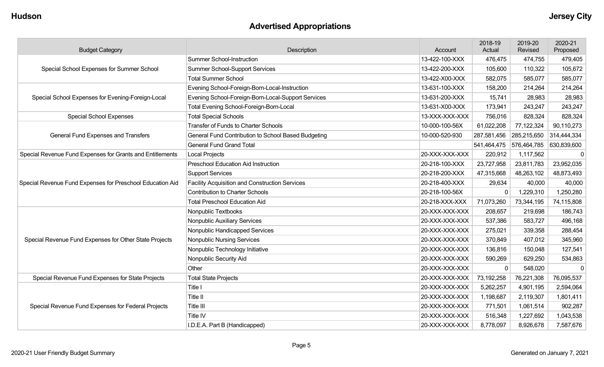## **Advertised Appropriations**

| <b>Budget Category</b>                                    | Description                                           | Account        | 2018-19<br>Actual | 2019-20<br>Revised | 2020-21<br>Proposed |
|-----------------------------------------------------------|-------------------------------------------------------|----------------|-------------------|--------------------|---------------------|
|                                                           | <b>Summer School-Instruction</b>                      | 13-422-100-XXX | 476,475           | 474,755            | 479,405             |
| Special School Expenses for Summer School                 | <b>Summer School-Support Services</b>                 | 13-422-200-XXX | 105,600           | 110,322            | 105,672             |
|                                                           | <b>Total Summer School</b>                            | 13-422-X00-XXX | 582,075           | 585,077            | 585,077             |
|                                                           | Evening School-Foreign-Born-Local-Instruction         | 13-631-100-XXX | 158,200           | 214,264            | 214,264             |
| Special School Expenses for Evening-Foreign-Local         | Evening School-Foreign-Born-Local-Support Services    | 13-631-200-XXX | 15,741            | 28,983             | 28,983              |
|                                                           | Total Evening School-Foreign-Born-Local               | 13-631-X00-XXX | 173,941           | 243,247            | 243,247             |
| <b>Special School Expenses</b>                            | <b>Total Special Schools</b>                          | 13-XXX-XXX-XXX | 756,016           | 828,324            | 828,324             |
|                                                           | <b>Transfer of Funds to Charter Schools</b>           | 10-000-100-56X | 61,022,208        | 77,122,324         | 90,110,273          |
| General Fund Expenses and Transfers                       | General Fund Contribution to School Based Budgeting   | 10-000-520-930 | 287,581,456       | 285,215,650        | 314,444,334         |
|                                                           | <b>General Fund Grand Total</b>                       |                | 541,464,475       | 576,464,785        | 630,839,600         |
| Special Revenue Fund Expenses for Grants and Entitlements | <b>Local Projects</b>                                 | 20-XXX-XXX-XXX | 220,912           | 1,117,562          | $\mathbf 0$         |
|                                                           | <b>Preschool Education Aid Instruction</b>            | 20-218-100-XXX | 23,727,958        | 23,811,783         | 23,952,035          |
| Special Revenue Fund Expenses for Preschool Education Aid | <b>Support Services</b>                               | 20-218-200-XXX | 47,315,668        | 48,263,102         | 48,873,493          |
|                                                           | <b>Facility Acquisition and Construction Services</b> | 20-218-400-XXX | 29,634            | 40,000             | 40,000              |
|                                                           | <b>Contribution to Charter Schools</b>                | 20-218-100-56X | 0                 | 1,229,310          | 1,250,280           |
|                                                           | <b>Total Preschool Education Aid</b>                  | 20-218-XXX-XXX | 71,073,260        | 73,344,195         | 74,115,808          |
|                                                           | Nonpublic Textbooks                                   | 20-XXX-XXX-XXX | 208,657           | 219,698            | 186,743             |
|                                                           | Nonpublic Auxiliary Services                          | 20-XXX-XXX-XXX | 537,386           | 583,727            | 496,168             |
|                                                           | Nonpublic Handicapped Services                        | 20-XXX-XXX-XXX | 275,021           | 339,358            | 288,454             |
| Special Revenue Fund Expenses for Other State Projects    | <b>Nonpublic Nursing Services</b>                     | 20-XXX-XXX-XXX | 370,849           | 407,012            | 345,960             |
|                                                           | Nonpublic Technology Initiative                       | 20-XXX-XXX-XXX | 136,816           | 150,048            | 127,541             |
|                                                           | Nonpublic Security Aid                                | 20-XXX-XXX-XXX | 590,269           | 629,250            | 534,863             |
|                                                           | Other                                                 | 20-XXX-XXX-XXX | $\mathbf 0$       | 548,020            | $\Omega$            |
| Special Revenue Fund Expenses for State Projects          | <b>Total State Projects</b>                           | 20-XXX-XXX-XXX | 73,192,258        | 76,221,308         | 76,095,537          |
|                                                           | Title I                                               | 20-XXX-XXX-XXX | 5,262,257         | 4,901,195          | 2,594,064           |
|                                                           | Title II                                              | 20-XXX-XXX-XXX | 1,198,687         | 2,119,307          | 1,801,411           |
| Special Revenue Fund Expenses for Federal Projects        | Title III                                             | 20-XXX-XXX-XXX | 771,501           | 1,061,514          | 902,287             |
|                                                           | Title IV                                              | 20-XXX-XXX-XXX | 516,348           | 1,227,692          | 1,043,538           |
|                                                           | I.D.E.A. Part B (Handicapped)                         | 20-XXX-XXX-XXX | 8,778,097         | 8,926,678          | 7,587,676           |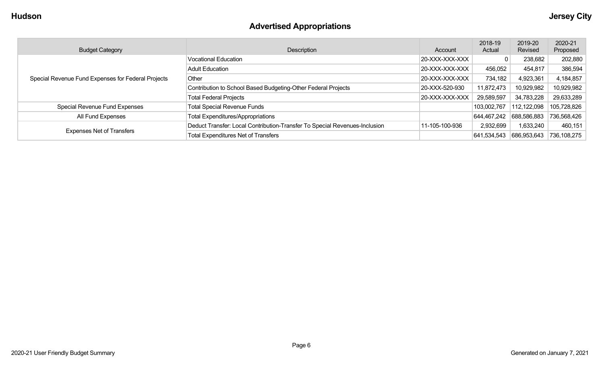## **Advertised Appropriations**

| <b>Budget Category</b>                             | Description                                                                | Account        | 2018-19<br>Actual | 2019-20<br>Revised | 2020-21<br>Proposed |
|----------------------------------------------------|----------------------------------------------------------------------------|----------------|-------------------|--------------------|---------------------|
|                                                    | <b>Vocational Education</b>                                                | 20-XXX-XXX-XXX |                   | 238,682            | 202,880             |
|                                                    | <b>Adult Education</b>                                                     | 20-XXX-XXX-XXX | 456,052           | 454,817            | 386,594             |
| Special Revenue Fund Expenses for Federal Projects | Other                                                                      | 20-XXX-XXX-XXX | 734,182           | 4,923,361          | 4,184,857           |
|                                                    | Contribution to School Based Budgeting-Other Federal Projects              | 20-XXX-520-930 | 11,872,473        | 10,929,982         | 10,929,982          |
|                                                    | <b>Total Federal Projects</b>                                              | 20-XXX-XXX-XXX | 29,589,597        | 34,783,228         | 29,633,289          |
| Special Revenue Fund Expenses                      | <b>Total Special Revenue Funds</b>                                         |                | 103,002,767       | 112,122,098        | 105,728,826         |
| All Fund Expenses                                  | <b>Total Expenditures/Appropriations</b>                                   |                | 644,467,242       | 688,586,883        | 736,568,426         |
|                                                    | Deduct Transfer: Local Contribution-Transfer To Special Revenues-Inclusion | 11-105-100-936 | 2,932,699         | 1,633,240          | 460,151             |
| <b>Expenses Net of Transfers</b>                   | <b>Total Expenditures Net of Transfers</b>                                 |                | 641,534,543       | 686,953,643        | 736,108,275         |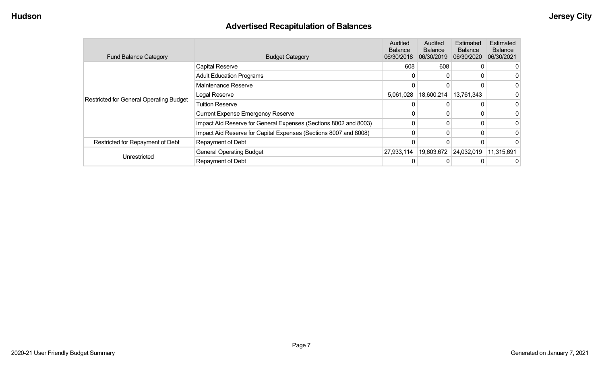## **Advertised Recapitulation of Balances**

| <b>Fund Balance Category</b>                   | <b>Budget Category</b>                                           | Audited<br><b>Balance</b><br>06/30/2018 | Audited<br><b>Balance</b><br>06/30/2019 | Estimated<br><b>Balance</b><br>06/30/2020 | <b>Estimated</b><br><b>Balance</b><br>06/30/2021 |
|------------------------------------------------|------------------------------------------------------------------|-----------------------------------------|-----------------------------------------|-------------------------------------------|--------------------------------------------------|
|                                                | Capital Reserve                                                  | 608                                     | 608                                     |                                           |                                                  |
|                                                | <b>Adult Education Programs</b>                                  | 0                                       | 0                                       |                                           |                                                  |
|                                                | Maintenance Reserve                                              |                                         | 0                                       |                                           |                                                  |
|                                                | Legal Reserve                                                    | 5,061,028                               | 18,600,214                              | 13,761,343                                |                                                  |
| <b>Restricted for General Operating Budget</b> | <b>Tuition Reserve</b>                                           |                                         | 0                                       |                                           |                                                  |
|                                                | <b>Current Expense Emergency Reserve</b>                         |                                         | 0                                       |                                           |                                                  |
|                                                | Impact Aid Reserve for General Expenses (Sections 8002 and 8003) | 0                                       | 0                                       |                                           |                                                  |
|                                                | Impact Aid Reserve for Capital Expenses (Sections 8007 and 8008) | 0                                       | 0                                       |                                           |                                                  |
| Restricted for Repayment of Debt               | Repayment of Debt                                                |                                         |                                         |                                           |                                                  |
|                                                | <b>General Operating Budget</b>                                  | 27,933,114                              | 19,603,672                              | 24,032,019                                | 11,315,691                                       |
| Unrestricted                                   | Repayment of Debt                                                | 0                                       |                                         |                                           |                                                  |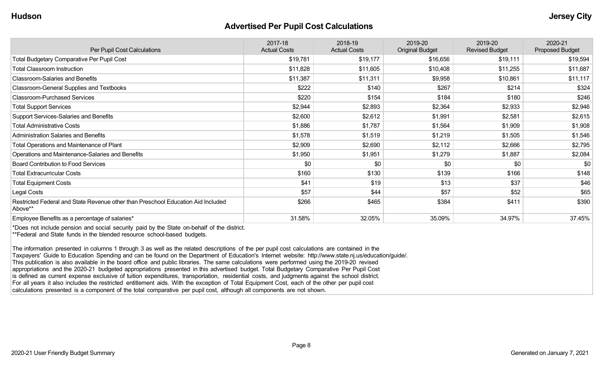#### **Advertised Per Pupil Cost Calculations**

| Per Pupil Cost Calculations                                                                 | 2017-18<br><b>Actual Costs</b> | 2018-19<br><b>Actual Costs</b> | 2019-20<br><b>Original Budget</b> | 2019-20<br><b>Revised Budget</b> | 2020-21<br><b>Proposed Budget</b> |
|---------------------------------------------------------------------------------------------|--------------------------------|--------------------------------|-----------------------------------|----------------------------------|-----------------------------------|
| <b>Total Budgetary Comparative Per Pupil Cost</b>                                           | \$19,781                       | \$19,177                       | \$16,656                          | \$19,111                         | \$19,594                          |
| <b>Total Classroom Instruction</b>                                                          | \$11,828                       | \$11,605                       | \$10,408                          | \$11,255                         | \$11,687                          |
| <b>Classroom-Salaries and Benefits</b>                                                      | \$11,387                       | \$11,311                       | \$9,958                           | \$10,861                         | \$11,117                          |
| Classroom-General Supplies and Textbooks                                                    | \$222                          | \$140                          | \$267                             | \$214                            | \$324                             |
| <b>Classroom-Purchased Services</b>                                                         | \$220                          | \$154                          | \$184                             | \$180                            | \$246                             |
| <b>Total Support Services</b>                                                               | \$2,944                        | \$2,893                        | \$2,364                           | \$2,933                          | \$2,946                           |
| Support Services-Salaries and Benefits                                                      | \$2,600                        | \$2,612                        | \$1,991                           | \$2,581                          | \$2,615                           |
| <b>Total Administrative Costs</b>                                                           | \$1,886                        | \$1,787                        | \$1,564                           | \$1,909                          | \$1,908                           |
| <b>Administration Salaries and Benefits</b>                                                 | \$1,578                        | \$1,519                        | \$1,219                           | \$1,505                          | \$1,546                           |
| Total Operations and Maintenance of Plant                                                   | \$2,909                        | \$2,690                        | \$2,112                           | \$2,666                          | \$2,795                           |
| Operations and Maintenance-Salaries and Benefits                                            | \$1,950                        | \$1,951                        | \$1,279                           | \$1,887                          | \$2,084                           |
| Board Contribution to Food Services                                                         | \$0                            | \$0                            | \$0                               | \$0                              | \$0                               |
| <b>Total Extracurricular Costs</b>                                                          | \$160                          | \$130                          | \$139                             | \$166                            | \$148                             |
| <b>Total Equipment Costs</b>                                                                | \$41                           | \$19                           | \$13                              | \$37                             | \$46                              |
| Legal Costs                                                                                 | \$57                           | \$44                           | \$57                              | \$52                             | \$65                              |
| Restricted Federal and State Revenue other than Preschool Education Aid Included<br>Above** | \$266                          | \$465                          | \$384                             | \$411                            | \$390                             |
| Employee Benefits as a percentage of salaries*                                              | 31.58%                         | 32.05%                         | 35.09%                            | 34.97%                           | 37.45%                            |

\*Does not include pension and social security paid by the State on-behalf of the district. \*\*Federal and State funds in the blended resource school-based budgets.

The information presented in columns 1 through 3 as well as the related descriptions of the per pupil cost calculations are contained in the Taxpayers' Guide to Education Spending and can be found on the Department of Education's Internet website: http://www.state.nj.us/education/guide/. This publication is also available in the board office and public libraries. The same calculations were performed using the 2019-20 revised appropriations and the 2020-21 budgeted appropriations presented in this advertised budget. Total Budgetary Comparative Per Pupil Cost is defined as current expense exclusive of tuition expenditures, transportation, residential costs, and judgments against the school district. For all years it also includes the restricted entitlement aids. With the exception of Total Equipment Cost, each of the other per pupil cost calculations presented is a component of the total comparative per pupil cost, although all components are not shown.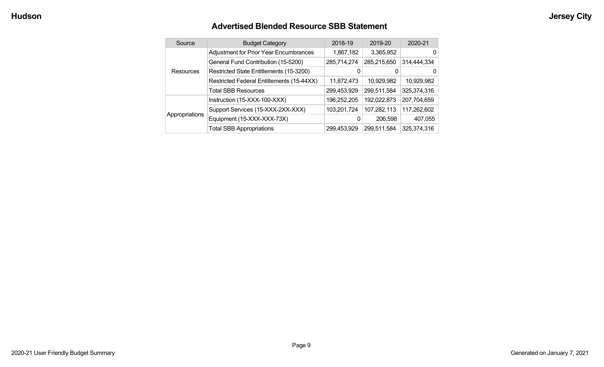#### **Advertised Blended Resource SBB Statement**

|  | Source           | <b>Budget Category</b>                        | 2018-19     | 2019-20     | 2020-21     |
|--|------------------|-----------------------------------------------|-------------|-------------|-------------|
|  |                  | <b>Adjustment for Prior Year Encumbrances</b> | 1,867,182   | 3,365,952   | 0           |
|  |                  | General Fund Contribution (15-5200)           | 285,714,274 | 285,215,650 | 314,444,334 |
|  | <b>Resources</b> | Restricted State Entitlements (15-3200)       |             | 0           | 0           |
|  |                  | Restricted Federal Entitlements (15-44XX)     | 11,872,473  | 10,929,982  | 10,929,982  |
|  |                  | <b>Total SBB Resources</b>                    | 299,453,929 | 299,511,584 | 325,374,316 |
|  |                  | Instruction (15-XXX-100-XXX)                  | 196,252,205 | 192,022,873 | 207,704,659 |
|  |                  | Support Services (15-XXX-2XX-XXX)             | 103,201,724 | 107,282,113 | 117,262,602 |
|  | Appropriations   | Equipment (15-XXX-XXX-73X)                    | 0           | 206,598     | 407,055     |
|  |                  | <b>Total SBB Appropriations</b>               | 299,453,929 | 299,511,584 | 325,374,316 |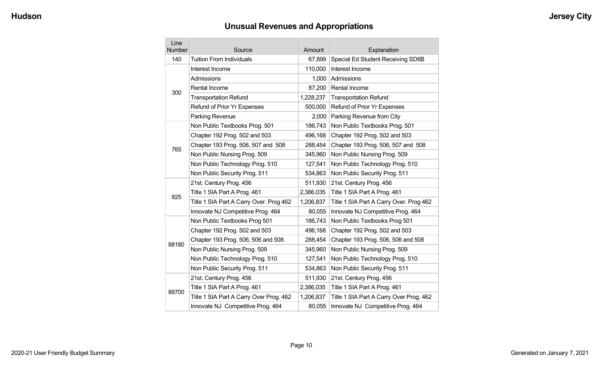# **Unusual Revenues and Appropriations**

| Line<br><b>Number</b> | Source                                  | Amount    | Explanation                             |
|-----------------------|-----------------------------------------|-----------|-----------------------------------------|
| 140                   | <b>Tuition From Individuals</b>         | 67,899    | Special Ed Student Receiving SD6B       |
|                       | Interest Income                         | 110,000   | Interest Income                         |
|                       | Admissions                              | 1,000     | Admissions                              |
| 300                   | Rental Income                           | 87,200    | Rental Income                           |
|                       | <b>Transportation Refund</b>            | 1,228,237 | <b>Transportation Refund</b>            |
|                       | Refund of Prior Yr Expenses             | 500,000   | Refund of Prior Yr Expenses             |
|                       | Parking Revenue                         | 2,000     | Parking Revenue from City               |
|                       | Non Public Textbooks Prog. 501          | 186,743   | Non Public Textbooks Prog. 501          |
|                       | Chapter 192 Prog. 502 and 503           | 496,168   | Chapter 192 Prog. 502 and 503           |
| 765                   | Chapter 193 Prog. 506, 507 and 508      | 288,454   | Chapter 193 Prog. 506, 507 and 508      |
|                       | Non Public Nursing Prog. 509            | 345,960   | Non Public Nursing Prog. 509            |
|                       | Non Public Technology Prog. 510         | 127,541   | Non Public Technology Prog. 510         |
|                       | Non Public Security Prog. 511           | 534,863   | Non Public Security Prog. 511           |
|                       | 21st. Century Prog. 456                 | 511,930   | 21st. Century Prog. 456                 |
| 825                   | Title 1 SIA Part A Prog. 461            | 2,386,035 | Title 1 SIA Part A Prog. 461            |
|                       | Title 1 SIA Part A Carry Over. Prog 462 | 1,206,837 | Title 1 SIA Part A Carry Over. Prog 462 |
|                       | Innovate NJ Competitive Prog. 464       | 80,055    | Innovate NJ Competitive Prog. 464       |
|                       | Non Public Textbooks Prog 501           | 186,743   | Non Public Textbooks Prog 501           |
|                       | Chapter 192 Prog. 502 and 503           | 496,168   | Chapter 192 Prog. 502 and 503           |
| 88180                 | Chapter 193 Prog. 506, 506 and 508      | 288,454   | Chapter 193 Prog. 506, 506 and 508      |
|                       | Non Public Nursing Prog. 509            | 345,960   | Non Public Nursing Prog. 509            |
|                       | Non Public Technology Prog. 510         | 127,541   | Non Public Technology Prog. 510         |
|                       | Non Public Security Prog. 511           | 534,863   | Non Public Security Prog. 511           |
|                       | 21st. Century Prog. 456                 | 511,930   | 21st. Century Prog. 456                 |
| 88700                 | Title 1 SIA Part A Prog. 461            | 2,386,035 | Title 1 SIA Part A Prog. 461            |
|                       | Title 1 SIA Part A Carry Over Prog. 462 | 1,206,837 | Title 1 SIA Part A Carry Over Prog. 462 |
|                       | Innovate NJ Competitive Prog. 464       | 80,055    | Innovate NJ Competitive Prog. 464       |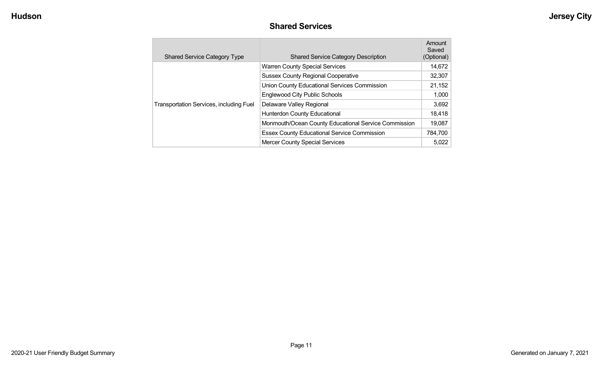#### **Shared Services**

| <b>Shared Service Category Type</b>            | <b>Shared Service Category Description</b>           | Amount<br>Saved<br>(Optional) |
|------------------------------------------------|------------------------------------------------------|-------------------------------|
|                                                | <b>Warren County Special Services</b>                | 14,672                        |
|                                                | <b>Sussex County Regional Cooperative</b>            | 32,307                        |
|                                                | Union County Educational Services Commission         | 21,152                        |
|                                                | <b>Englewood City Public Schools</b>                 | 1,000                         |
| <b>Transportation Services, including Fuel</b> | Delaware Valley Regional                             | 3,692                         |
|                                                | Hunterdon County Educational                         | 18,418                        |
|                                                | Monmouth/Ocean County Educational Service Commission | 19,087                        |
|                                                | <b>Essex County Educational Service Commission</b>   | 784,700                       |
|                                                | <b>Mercer County Special Services</b>                | 5,022                         |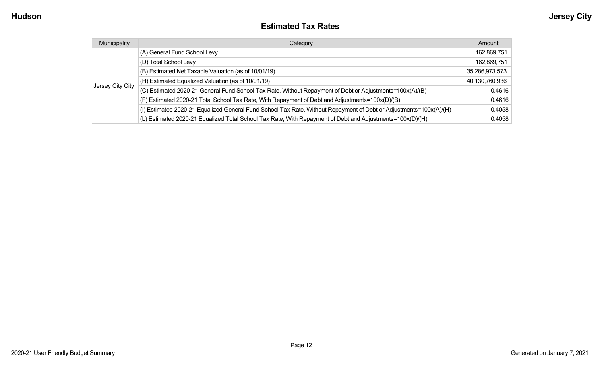#### **Estimated Tax Rates**

| Municipality     | Category                                                                                                           | Amount         |
|------------------|--------------------------------------------------------------------------------------------------------------------|----------------|
|                  | (A) General Fund School Levy                                                                                       | 162,869,751    |
|                  | (D) Total School Levy                                                                                              | 162,869,751    |
|                  | (B) Estimated Net Taxable Valuation (as of 10/01/19)                                                               | 35,286,973,573 |
|                  | (H) Estimated Equalized Valuation (as of 10/01/19)                                                                 | 40,130,760,936 |
| Jersey City City | (C) Estimated 2020-21 General Fund School Tax Rate, Without Repayment of Debt or Adjustments=100x(A)/(B)           | 0.4616         |
|                  | (F) Estimated 2020-21 Total School Tax Rate, With Repayment of Debt and Adjustments=100x(D)/(B)                    | 0.4616         |
|                  | (I) Estimated 2020-21 Equalized General Fund School Tax Rate, Without Repayment of Debt or Adjustments=100x(A)/(H) | 0.4058         |
|                  | (L) Estimated 2020-21 Equalized Total School Tax Rate, With Repayment of Debt and Adjustments=100x(D)/(H)          | 0.4058         |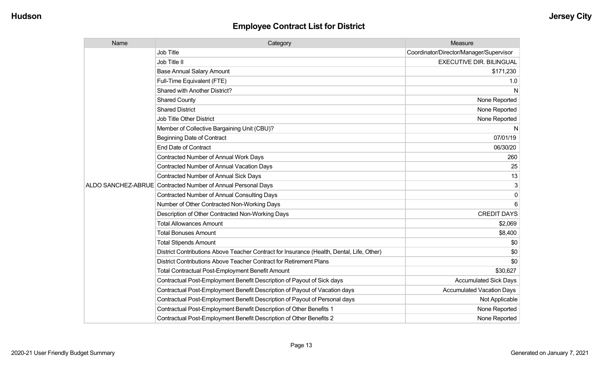| Name | Category                                                                                  | Measure                                 |
|------|-------------------------------------------------------------------------------------------|-----------------------------------------|
|      | <b>Job Title</b>                                                                          | Coordinator/Director/Manager/Supervisor |
|      | Job Title II                                                                              | <b>EXECUTIVE DIR. BILINGUAL</b>         |
|      | <b>Base Annual Salary Amount</b>                                                          | \$171,230                               |
|      | Full-Time Equivalent (FTE)                                                                | 1.0                                     |
|      | Shared with Another District?                                                             | N                                       |
|      | <b>Shared County</b>                                                                      | None Reported                           |
|      | <b>Shared District</b>                                                                    | None Reported                           |
|      | <b>Job Title Other District</b>                                                           | None Reported                           |
|      | Member of Collective Bargaining Unit (CBU)?                                               | N                                       |
|      | <b>Beginning Date of Contract</b>                                                         | 07/01/19                                |
|      | <b>End Date of Contract</b>                                                               | 06/30/20                                |
|      | Contracted Number of Annual Work Days                                                     | 260                                     |
|      | <b>Contracted Number of Annual Vacation Days</b>                                          | 25                                      |
|      | Contracted Number of Annual Sick Days                                                     | 13                                      |
|      | ALDO SANCHEZ-ABRUE Contracted Number of Annual Personal Days                              | 3                                       |
|      | <b>Contracted Number of Annual Consulting Days</b>                                        | 0                                       |
|      | Number of Other Contracted Non-Working Days                                               | 6                                       |
|      | Description of Other Contracted Non-Working Days                                          | <b>CREDIT DAYS</b>                      |
|      | <b>Total Allowances Amount</b>                                                            | \$2,069                                 |
|      | <b>Total Bonuses Amount</b>                                                               | \$8,400                                 |
|      | <b>Total Stipends Amount</b>                                                              | \$0                                     |
|      | District Contributions Above Teacher Contract for Insurance (Health, Dental, Life, Other) | \$0                                     |
|      | District Contributions Above Teacher Contract for Retirement Plans                        | \$0                                     |
|      | <b>Total Contractual Post-Employment Benefit Amount</b>                                   | \$30,627                                |
|      | Contractual Post-Employment Benefit Description of Payout of Sick days                    | <b>Accumulated Sick Days</b>            |
|      | Contractual Post-Employment Benefit Description of Payout of Vacation days                | <b>Accumulated Vacation Days</b>        |
|      | Contractual Post-Employment Benefit Description of Payout of Personal days                | Not Applicable                          |
|      | Contractual Post-Employment Benefit Description of Other Benefits 1                       | None Reported                           |
|      | Contractual Post-Employment Benefit Description of Other Benefits 2                       | None Reported                           |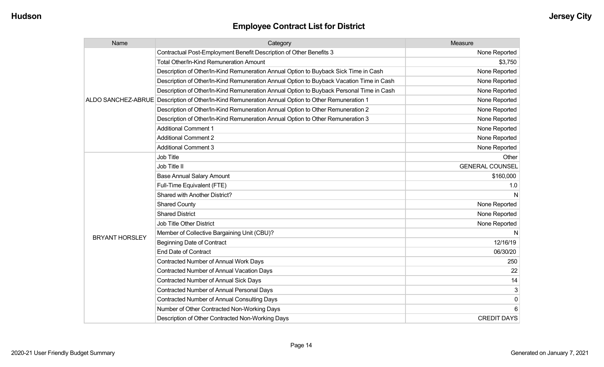| Name                  | Category                                                                                           | Measure                |
|-----------------------|----------------------------------------------------------------------------------------------------|------------------------|
|                       | Contractual Post-Employment Benefit Description of Other Benefits 3                                | None Reported          |
|                       | <b>Total Other/In-Kind Remuneration Amount</b>                                                     | \$3,750                |
|                       | Description of Other/In-Kind Remuneration Annual Option to Buyback Sick Time in Cash               | None Reported          |
|                       | Description of Other/In-Kind Remuneration Annual Option to Buyback Vacation Time in Cash           | None Reported          |
|                       | Description of Other/In-Kind Remuneration Annual Option to Buyback Personal Time in Cash           | None Reported          |
|                       | ALDO SANCHEZ-ABRUE Description of Other/In-Kind Remuneration Annual Option to Other Remuneration 1 | None Reported          |
|                       | Description of Other/In-Kind Remuneration Annual Option to Other Remuneration 2                    | None Reported          |
|                       | Description of Other/In-Kind Remuneration Annual Option to Other Remuneration 3                    | None Reported          |
|                       | <b>Additional Comment 1</b>                                                                        | None Reported          |
|                       | <b>Additional Comment 2</b>                                                                        | None Reported          |
|                       | <b>Additional Comment 3</b>                                                                        | None Reported          |
|                       | <b>Job Title</b>                                                                                   | Other                  |
|                       | Job Title II                                                                                       | <b>GENERAL COUNSEL</b> |
|                       | <b>Base Annual Salary Amount</b>                                                                   | \$160,000              |
|                       | Full-Time Equivalent (FTE)                                                                         | 1.0                    |
|                       | Shared with Another District?                                                                      |                        |
|                       | <b>Shared County</b>                                                                               | None Reported          |
|                       | <b>Shared District</b>                                                                             | None Reported          |
|                       | <b>Job Title Other District</b>                                                                    | None Reported          |
|                       | Member of Collective Bargaining Unit (CBU)?                                                        |                        |
| <b>BRYANT HORSLEY</b> | <b>Beginning Date of Contract</b>                                                                  | 12/16/19               |
|                       | <b>End Date of Contract</b>                                                                        | 06/30/20               |
|                       | <b>Contracted Number of Annual Work Days</b>                                                       | 250                    |
|                       | <b>Contracted Number of Annual Vacation Days</b>                                                   | 22                     |
|                       | Contracted Number of Annual Sick Days                                                              | 14                     |
|                       | Contracted Number of Annual Personal Days                                                          | 3                      |
|                       | <b>Contracted Number of Annual Consulting Days</b>                                                 | $\mathbf 0$            |
|                       | Number of Other Contracted Non-Working Days                                                        |                        |
|                       | Description of Other Contracted Non-Working Days                                                   | <b>CREDIT DAYS</b>     |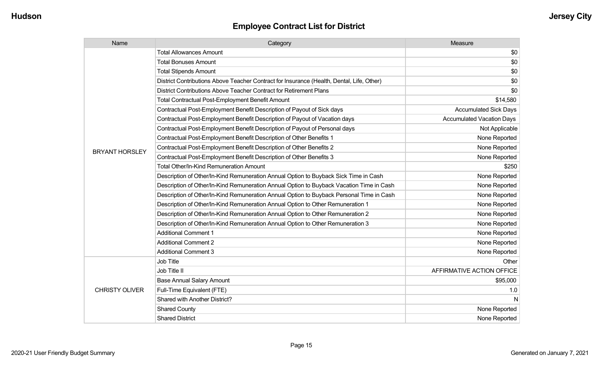| Name                  | Category                                                                                  | Measure                          |
|-----------------------|-------------------------------------------------------------------------------------------|----------------------------------|
|                       | <b>Total Allowances Amount</b>                                                            | \$0                              |
|                       | <b>Total Bonuses Amount</b>                                                               | \$0                              |
|                       | <b>Total Stipends Amount</b>                                                              | \$0                              |
|                       | District Contributions Above Teacher Contract for Insurance (Health, Dental, Life, Other) | \$0                              |
|                       | District Contributions Above Teacher Contract for Retirement Plans                        | \$0                              |
|                       | <b>Total Contractual Post-Employment Benefit Amount</b>                                   | \$14,580                         |
|                       | Contractual Post-Employment Benefit Description of Payout of Sick days                    | <b>Accumulated Sick Days</b>     |
|                       | Contractual Post-Employment Benefit Description of Payout of Vacation days                | <b>Accumulated Vacation Days</b> |
|                       | Contractual Post-Employment Benefit Description of Payout of Personal days                | Not Applicable                   |
|                       | Contractual Post-Employment Benefit Description of Other Benefits 1                       | None Reported                    |
| <b>BRYANT HORSLEY</b> | Contractual Post-Employment Benefit Description of Other Benefits 2                       | None Reported                    |
|                       | Contractual Post-Employment Benefit Description of Other Benefits 3                       | None Reported                    |
|                       | <b>Total Other/In-Kind Remuneration Amount</b>                                            | \$250                            |
|                       | Description of Other/In-Kind Remuneration Annual Option to Buyback Sick Time in Cash      | None Reported                    |
|                       | Description of Other/In-Kind Remuneration Annual Option to Buyback Vacation Time in Cash  | None Reported                    |
|                       | Description of Other/In-Kind Remuneration Annual Option to Buyback Personal Time in Cash  | None Reported                    |
|                       | Description of Other/In-Kind Remuneration Annual Option to Other Remuneration 1           | None Reported                    |
|                       | Description of Other/In-Kind Remuneration Annual Option to Other Remuneration 2           | None Reported                    |
|                       | Description of Other/In-Kind Remuneration Annual Option to Other Remuneration 3           | None Reported                    |
|                       | <b>Additional Comment 1</b>                                                               | None Reported                    |
|                       | <b>Additional Comment 2</b>                                                               | None Reported                    |
|                       | <b>Additional Comment 3</b>                                                               | None Reported                    |
|                       | <b>Job Title</b>                                                                          | Other                            |
|                       | Job Title II                                                                              | AFFIRMATIVE ACTION OFFICE        |
| <b>CHRISTY OLIVER</b> | <b>Base Annual Salary Amount</b>                                                          | \$95,000                         |
|                       | Full-Time Equivalent (FTE)                                                                | 1.0                              |
|                       | Shared with Another District?                                                             | N                                |
|                       | <b>Shared County</b>                                                                      | None Reported                    |
|                       | <b>Shared District</b>                                                                    | None Reported                    |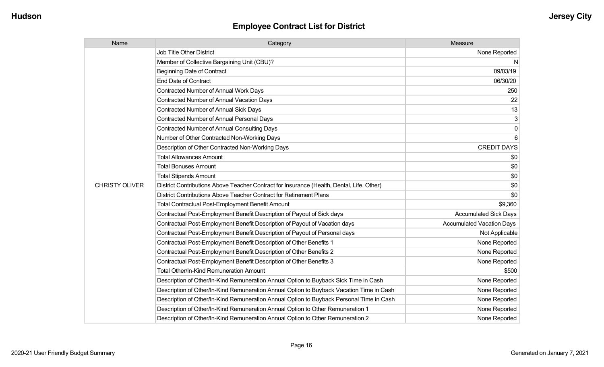| Name                  | Category                                                                                  | Measure                          |
|-----------------------|-------------------------------------------------------------------------------------------|----------------------------------|
|                       | Job Title Other District                                                                  | None Reported                    |
|                       | Member of Collective Bargaining Unit (CBU)?                                               | N                                |
|                       | <b>Beginning Date of Contract</b>                                                         | 09/03/19                         |
|                       | <b>End Date of Contract</b>                                                               | 06/30/20                         |
|                       | Contracted Number of Annual Work Days                                                     | 250                              |
|                       | <b>Contracted Number of Annual Vacation Days</b>                                          | 22                               |
|                       | Contracted Number of Annual Sick Days                                                     | 13                               |
|                       | Contracted Number of Annual Personal Days                                                 | 3                                |
|                       | <b>Contracted Number of Annual Consulting Days</b>                                        | $\mathbf{0}$                     |
|                       | Number of Other Contracted Non-Working Days                                               |                                  |
|                       | Description of Other Contracted Non-Working Days                                          | <b>CREDIT DAYS</b>               |
|                       | <b>Total Allowances Amount</b>                                                            | \$0                              |
|                       | <b>Total Bonuses Amount</b>                                                               | \$0                              |
|                       | <b>Total Stipends Amount</b>                                                              | \$0                              |
| <b>CHRISTY OLIVER</b> | District Contributions Above Teacher Contract for Insurance (Health, Dental, Life, Other) | \$0                              |
|                       | District Contributions Above Teacher Contract for Retirement Plans                        | \$0                              |
|                       | <b>Total Contractual Post-Employment Benefit Amount</b>                                   | \$9,360                          |
|                       | Contractual Post-Employment Benefit Description of Payout of Sick days                    | <b>Accumulated Sick Days</b>     |
|                       | Contractual Post-Employment Benefit Description of Payout of Vacation days                | <b>Accumulated Vacation Days</b> |
|                       | Contractual Post-Employment Benefit Description of Payout of Personal days                | Not Applicable                   |
|                       | Contractual Post-Employment Benefit Description of Other Benefits 1                       | None Reported                    |
|                       | Contractual Post-Employment Benefit Description of Other Benefits 2                       | None Reported                    |
|                       | Contractual Post-Employment Benefit Description of Other Benefits 3                       | None Reported                    |
|                       | Total Other/In-Kind Remuneration Amount                                                   | \$500                            |
|                       | Description of Other/In-Kind Remuneration Annual Option to Buyback Sick Time in Cash      | None Reported                    |
|                       | Description of Other/In-Kind Remuneration Annual Option to Buyback Vacation Time in Cash  | None Reported                    |
|                       | Description of Other/In-Kind Remuneration Annual Option to Buyback Personal Time in Cash  | None Reported                    |
|                       | Description of Other/In-Kind Remuneration Annual Option to Other Remuneration 1           | None Reported                    |
|                       | Description of Other/In-Kind Remuneration Annual Option to Other Remuneration 2           | None Reported                    |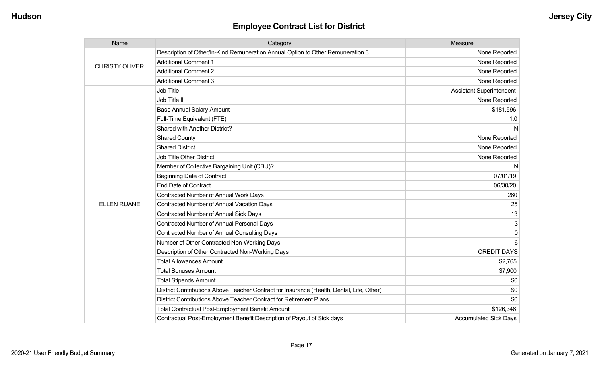| Name                  | Category                                                                                  | Measure                         |
|-----------------------|-------------------------------------------------------------------------------------------|---------------------------------|
| <b>CHRISTY OLIVER</b> | Description of Other/In-Kind Remuneration Annual Option to Other Remuneration 3           | None Reported                   |
|                       | <b>Additional Comment 1</b>                                                               | None Reported                   |
|                       | <b>Additional Comment 2</b>                                                               | None Reported                   |
|                       | <b>Additional Comment 3</b>                                                               | None Reported                   |
|                       | <b>Job Title</b>                                                                          | <b>Assistant Superintendent</b> |
|                       | Job Title II                                                                              | None Reported                   |
|                       | <b>Base Annual Salary Amount</b>                                                          | \$181,596                       |
|                       | Full-Time Equivalent (FTE)                                                                | 1.0                             |
|                       | <b>Shared with Another District?</b>                                                      | N                               |
|                       | <b>Shared County</b>                                                                      | None Reported                   |
|                       | <b>Shared District</b>                                                                    | None Reported                   |
|                       | <b>Job Title Other District</b>                                                           | None Reported                   |
|                       | Member of Collective Bargaining Unit (CBU)?                                               | N                               |
|                       | <b>Beginning Date of Contract</b>                                                         | 07/01/19                        |
|                       | <b>End Date of Contract</b>                                                               | 06/30/20                        |
|                       | Contracted Number of Annual Work Days                                                     | 260                             |
| <b>ELLEN RUANE</b>    | <b>Contracted Number of Annual Vacation Days</b>                                          | 25                              |
|                       | <b>Contracted Number of Annual Sick Days</b>                                              | 13                              |
|                       | Contracted Number of Annual Personal Days                                                 | 3                               |
|                       | <b>Contracted Number of Annual Consulting Days</b>                                        | 0                               |
|                       | Number of Other Contracted Non-Working Days                                               | 6                               |
|                       | Description of Other Contracted Non-Working Days                                          | <b>CREDIT DAYS</b>              |
|                       | <b>Total Allowances Amount</b>                                                            | \$2,765                         |
|                       | <b>Total Bonuses Amount</b>                                                               | \$7,900                         |
|                       | <b>Total Stipends Amount</b>                                                              | \$0                             |
|                       | District Contributions Above Teacher Contract for Insurance (Health, Dental, Life, Other) | \$0                             |
|                       | District Contributions Above Teacher Contract for Retirement Plans                        | \$0                             |
|                       | <b>Total Contractual Post-Employment Benefit Amount</b>                                   | \$126,346                       |
|                       | Contractual Post-Employment Benefit Description of Payout of Sick days                    | <b>Accumulated Sick Days</b>    |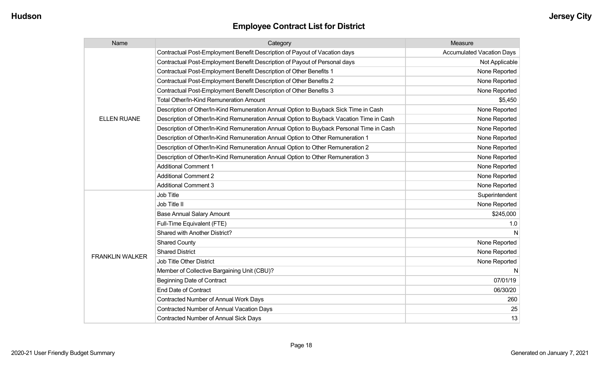| Name                   | Category                                                                                 | Measure                          |
|------------------------|------------------------------------------------------------------------------------------|----------------------------------|
|                        | Contractual Post-Employment Benefit Description of Payout of Vacation days               | <b>Accumulated Vacation Days</b> |
|                        | Contractual Post-Employment Benefit Description of Payout of Personal days               | Not Applicable                   |
|                        | Contractual Post-Employment Benefit Description of Other Benefits 1                      | None Reported                    |
|                        | Contractual Post-Employment Benefit Description of Other Benefits 2                      | None Reported                    |
|                        | Contractual Post-Employment Benefit Description of Other Benefits 3                      | None Reported                    |
|                        | Total Other/In-Kind Remuneration Amount                                                  | \$5,450                          |
|                        | Description of Other/In-Kind Remuneration Annual Option to Buyback Sick Time in Cash     | None Reported                    |
| <b>ELLEN RUANE</b>     | Description of Other/In-Kind Remuneration Annual Option to Buyback Vacation Time in Cash | None Reported                    |
|                        | Description of Other/In-Kind Remuneration Annual Option to Buyback Personal Time in Cash | None Reported                    |
|                        | Description of Other/In-Kind Remuneration Annual Option to Other Remuneration 1          | None Reported                    |
|                        | Description of Other/In-Kind Remuneration Annual Option to Other Remuneration 2          | None Reported                    |
|                        | Description of Other/In-Kind Remuneration Annual Option to Other Remuneration 3          | None Reported                    |
|                        | <b>Additional Comment 1</b>                                                              | None Reported                    |
|                        | <b>Additional Comment 2</b>                                                              | None Reported                    |
|                        | <b>Additional Comment 3</b>                                                              | None Reported                    |
|                        | <b>Job Title</b>                                                                         | Superintendent                   |
|                        | Job Title II                                                                             | None Reported                    |
|                        | <b>Base Annual Salary Amount</b>                                                         | \$245,000                        |
|                        | Full-Time Equivalent (FTE)                                                               | 1.0                              |
|                        | <b>Shared with Another District?</b>                                                     |                                  |
|                        | <b>Shared County</b>                                                                     | None Reported                    |
| <b>FRANKLIN WALKER</b> | <b>Shared District</b>                                                                   | None Reported                    |
|                        | <b>Job Title Other District</b>                                                          | None Reported                    |
|                        | Member of Collective Bargaining Unit (CBU)?                                              | -N                               |
|                        | <b>Beginning Date of Contract</b>                                                        | 07/01/19                         |
|                        | <b>End Date of Contract</b>                                                              | 06/30/20                         |
|                        | Contracted Number of Annual Work Days                                                    | 260                              |
|                        | <b>Contracted Number of Annual Vacation Days</b>                                         | 25                               |
|                        | <b>Contracted Number of Annual Sick Days</b>                                             | 13                               |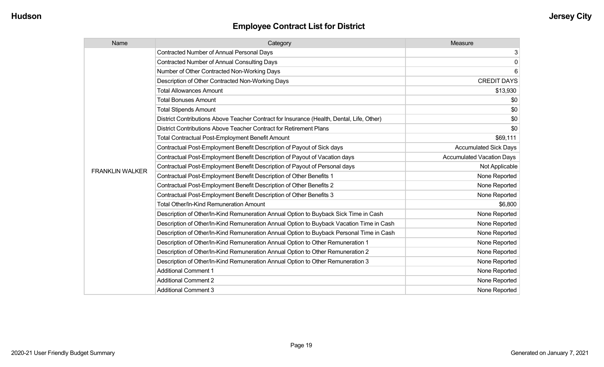| Name                   | Category                                                                                  | Measure                          |
|------------------------|-------------------------------------------------------------------------------------------|----------------------------------|
|                        | <b>Contracted Number of Annual Personal Days</b>                                          | 3                                |
|                        | <b>Contracted Number of Annual Consulting Days</b>                                        | $\mathbf 0$                      |
|                        | Number of Other Contracted Non-Working Days                                               | 6                                |
|                        | Description of Other Contracted Non-Working Days                                          | <b>CREDIT DAYS</b>               |
|                        | <b>Total Allowances Amount</b>                                                            | \$13,930                         |
|                        | <b>Total Bonuses Amount</b>                                                               | \$0                              |
|                        | <b>Total Stipends Amount</b>                                                              | \$0                              |
|                        | District Contributions Above Teacher Contract for Insurance (Health, Dental, Life, Other) | \$0                              |
|                        | District Contributions Above Teacher Contract for Retirement Plans                        | \$0                              |
|                        | <b>Total Contractual Post-Employment Benefit Amount</b>                                   | \$69,111                         |
|                        | Contractual Post-Employment Benefit Description of Payout of Sick days                    | <b>Accumulated Sick Days</b>     |
|                        | Contractual Post-Employment Benefit Description of Payout of Vacation days                | <b>Accumulated Vacation Days</b> |
| <b>FRANKLIN WALKER</b> | Contractual Post-Employment Benefit Description of Payout of Personal days                | Not Applicable                   |
|                        | Contractual Post-Employment Benefit Description of Other Benefits 1                       | None Reported                    |
|                        | Contractual Post-Employment Benefit Description of Other Benefits 2                       | None Reported                    |
|                        | Contractual Post-Employment Benefit Description of Other Benefits 3                       | None Reported                    |
|                        | Total Other/In-Kind Remuneration Amount                                                   | \$6,800                          |
|                        | Description of Other/In-Kind Remuneration Annual Option to Buyback Sick Time in Cash      | None Reported                    |
|                        | Description of Other/In-Kind Remuneration Annual Option to Buyback Vacation Time in Cash  | None Reported                    |
|                        | Description of Other/In-Kind Remuneration Annual Option to Buyback Personal Time in Cash  | None Reported                    |
|                        | Description of Other/In-Kind Remuneration Annual Option to Other Remuneration 1           | None Reported                    |
|                        | Description of Other/In-Kind Remuneration Annual Option to Other Remuneration 2           | None Reported                    |
|                        | Description of Other/In-Kind Remuneration Annual Option to Other Remuneration 3           | None Reported                    |
|                        | <b>Additional Comment 1</b>                                                               | None Reported                    |
|                        | <b>Additional Comment 2</b>                                                               | None Reported                    |
|                        | <b>Additional Comment 3</b>                                                               | None Reported                    |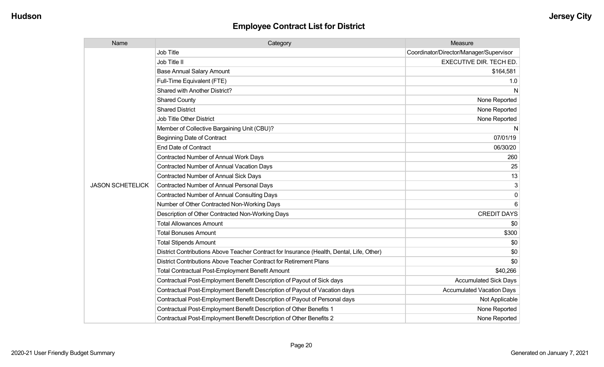| Name                    | Category                                                                                  | Measure                                 |
|-------------------------|-------------------------------------------------------------------------------------------|-----------------------------------------|
|                         | <b>Job Title</b>                                                                          | Coordinator/Director/Manager/Supervisor |
|                         | Job Title II                                                                              | <b>EXECUTIVE DIR. TECH ED.</b>          |
|                         | <b>Base Annual Salary Amount</b>                                                          | \$164,581                               |
|                         | Full-Time Equivalent (FTE)                                                                | 1.0                                     |
|                         | Shared with Another District?                                                             | N                                       |
|                         | <b>Shared County</b>                                                                      | None Reported                           |
|                         | <b>Shared District</b>                                                                    | None Reported                           |
|                         | <b>Job Title Other District</b>                                                           | None Reported                           |
|                         | Member of Collective Bargaining Unit (CBU)?                                               | N                                       |
|                         | <b>Beginning Date of Contract</b>                                                         | 07/01/19                                |
|                         | <b>End Date of Contract</b>                                                               | 06/30/20                                |
|                         | Contracted Number of Annual Work Days                                                     | 260                                     |
|                         | <b>Contracted Number of Annual Vacation Days</b>                                          | 25                                      |
|                         | <b>Contracted Number of Annual Sick Days</b>                                              | 13                                      |
| <b>JASON SCHETELICK</b> | <b>Contracted Number of Annual Personal Days</b>                                          | 3                                       |
|                         | <b>Contracted Number of Annual Consulting Days</b>                                        | 0                                       |
|                         | Number of Other Contracted Non-Working Days                                               | 6                                       |
|                         | Description of Other Contracted Non-Working Days                                          | <b>CREDIT DAYS</b>                      |
|                         | <b>Total Allowances Amount</b>                                                            | \$0                                     |
|                         | <b>Total Bonuses Amount</b>                                                               | \$300                                   |
|                         | <b>Total Stipends Amount</b>                                                              | \$0                                     |
|                         | District Contributions Above Teacher Contract for Insurance (Health, Dental, Life, Other) | \$0                                     |
|                         | District Contributions Above Teacher Contract for Retirement Plans                        | \$0                                     |
|                         | <b>Total Contractual Post-Employment Benefit Amount</b>                                   | \$40,266                                |
|                         | Contractual Post-Employment Benefit Description of Payout of Sick days                    | <b>Accumulated Sick Days</b>            |
|                         | Contractual Post-Employment Benefit Description of Payout of Vacation days                | <b>Accumulated Vacation Days</b>        |
|                         | Contractual Post-Employment Benefit Description of Payout of Personal days                | Not Applicable                          |
|                         | Contractual Post-Employment Benefit Description of Other Benefits 1                       | None Reported                           |
|                         | Contractual Post-Employment Benefit Description of Other Benefits 2                       | None Reported                           |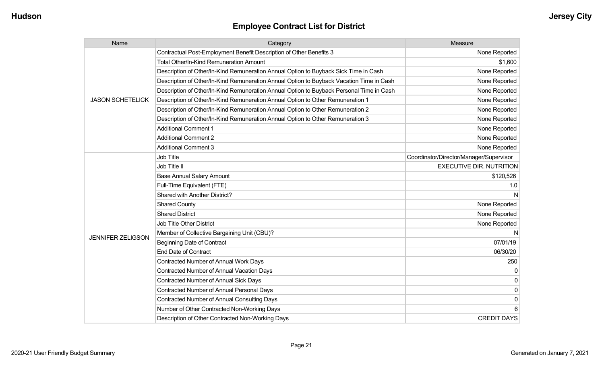| Name                     | Category                                                                                 | Measure                                 |
|--------------------------|------------------------------------------------------------------------------------------|-----------------------------------------|
|                          | Contractual Post-Employment Benefit Description of Other Benefits 3                      | None Reported                           |
|                          | Total Other/In-Kind Remuneration Amount                                                  | \$1,600                                 |
|                          | Description of Other/In-Kind Remuneration Annual Option to Buyback Sick Time in Cash     | None Reported                           |
|                          | Description of Other/In-Kind Remuneration Annual Option to Buyback Vacation Time in Cash | None Reported                           |
|                          | Description of Other/In-Kind Remuneration Annual Option to Buyback Personal Time in Cash | None Reported                           |
| <b>JASON SCHETELICK</b>  | Description of Other/In-Kind Remuneration Annual Option to Other Remuneration 1          | None Reported                           |
|                          | Description of Other/In-Kind Remuneration Annual Option to Other Remuneration 2          | None Reported                           |
|                          | Description of Other/In-Kind Remuneration Annual Option to Other Remuneration 3          | None Reported                           |
|                          | <b>Additional Comment 1</b>                                                              | None Reported                           |
|                          | <b>Additional Comment 2</b>                                                              | None Reported                           |
|                          | <b>Additional Comment 3</b>                                                              | None Reported                           |
|                          | Job Title                                                                                | Coordinator/Director/Manager/Supervisor |
|                          | Job Title II                                                                             | <b>EXECUTIVE DIR. NUTRITION</b>         |
|                          | <b>Base Annual Salary Amount</b>                                                         | \$120,526                               |
|                          | Full-Time Equivalent (FTE)                                                               | 1.0                                     |
|                          | Shared with Another District?                                                            |                                         |
|                          | <b>Shared County</b>                                                                     | None Reported                           |
|                          | <b>Shared District</b>                                                                   | None Reported                           |
|                          | <b>Job Title Other District</b>                                                          | None Reported                           |
| <b>JENNIFER ZELIGSON</b> | Member of Collective Bargaining Unit (CBU)?                                              | N                                       |
|                          | <b>Beginning Date of Contract</b>                                                        | 07/01/19                                |
|                          | <b>End Date of Contract</b>                                                              | 06/30/20                                |
|                          | Contracted Number of Annual Work Days                                                    | 250                                     |
|                          | Contracted Number of Annual Vacation Days                                                | 0                                       |
|                          | Contracted Number of Annual Sick Days                                                    | $\Omega$                                |
|                          | Contracted Number of Annual Personal Days                                                | 0                                       |
|                          | <b>Contracted Number of Annual Consulting Days</b>                                       | 0                                       |
|                          | Number of Other Contracted Non-Working Days                                              | 6                                       |
|                          | Description of Other Contracted Non-Working Days                                         | <b>CREDIT DAYS</b>                      |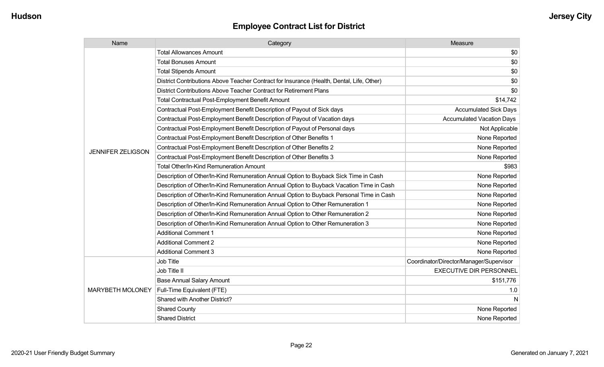| Name                     | Category                                                                                  | Measure                                 |
|--------------------------|-------------------------------------------------------------------------------------------|-----------------------------------------|
|                          | <b>Total Allowances Amount</b>                                                            | \$0                                     |
|                          | <b>Total Bonuses Amount</b>                                                               | \$0                                     |
|                          | <b>Total Stipends Amount</b>                                                              | \$0                                     |
|                          | District Contributions Above Teacher Contract for Insurance (Health, Dental, Life, Other) | \$0                                     |
|                          | District Contributions Above Teacher Contract for Retirement Plans                        | \$0                                     |
|                          | <b>Total Contractual Post-Employment Benefit Amount</b>                                   | \$14,742                                |
|                          | Contractual Post-Employment Benefit Description of Payout of Sick days                    | <b>Accumulated Sick Days</b>            |
|                          | Contractual Post-Employment Benefit Description of Payout of Vacation days                | <b>Accumulated Vacation Days</b>        |
|                          | Contractual Post-Employment Benefit Description of Payout of Personal days                | Not Applicable                          |
|                          | Contractual Post-Employment Benefit Description of Other Benefits 1                       | None Reported                           |
| <b>JENNIFER ZELIGSON</b> | Contractual Post-Employment Benefit Description of Other Benefits 2                       | None Reported                           |
|                          | Contractual Post-Employment Benefit Description of Other Benefits 3                       | None Reported                           |
|                          | Total Other/In-Kind Remuneration Amount                                                   | \$983                                   |
|                          | Description of Other/In-Kind Remuneration Annual Option to Buyback Sick Time in Cash      | None Reported                           |
|                          | Description of Other/In-Kind Remuneration Annual Option to Buyback Vacation Time in Cash  | None Reported                           |
|                          | Description of Other/In-Kind Remuneration Annual Option to Buyback Personal Time in Cash  | None Reported                           |
|                          | Description of Other/In-Kind Remuneration Annual Option to Other Remuneration 1           | None Reported                           |
|                          | Description of Other/In-Kind Remuneration Annual Option to Other Remuneration 2           | None Reported                           |
|                          | Description of Other/In-Kind Remuneration Annual Option to Other Remuneration 3           | None Reported                           |
|                          | <b>Additional Comment 1</b>                                                               | None Reported                           |
|                          | <b>Additional Comment 2</b>                                                               | None Reported                           |
|                          | <b>Additional Comment 3</b>                                                               | None Reported                           |
|                          | Job Title                                                                                 | Coordinator/Director/Manager/Supervisor |
| <b>MARYBETH MOLONEY</b>  | Job Title II                                                                              | <b>EXECUTIVE DIR PERSONNEL</b>          |
|                          | <b>Base Annual Salary Amount</b>                                                          | \$151,776                               |
|                          | Full-Time Equivalent (FTE)                                                                | 1.0                                     |
|                          | Shared with Another District?                                                             | N                                       |
|                          | <b>Shared County</b>                                                                      | None Reported                           |
|                          | <b>Shared District</b>                                                                    | None Reported                           |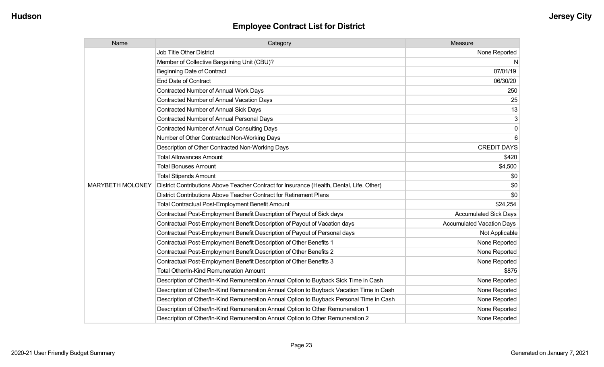| Name                    | Category                                                                                  | Measure                          |
|-------------------------|-------------------------------------------------------------------------------------------|----------------------------------|
|                         | <b>Job Title Other District</b>                                                           | None Reported                    |
|                         | Member of Collective Bargaining Unit (CBU)?                                               | N                                |
|                         | <b>Beginning Date of Contract</b>                                                         | 07/01/19                         |
|                         | <b>End Date of Contract</b>                                                               | 06/30/20                         |
|                         | <b>Contracted Number of Annual Work Days</b>                                              | 250                              |
|                         | <b>Contracted Number of Annual Vacation Days</b>                                          | 25                               |
|                         | <b>Contracted Number of Annual Sick Days</b>                                              | 13                               |
|                         | <b>Contracted Number of Annual Personal Days</b>                                          | 3                                |
|                         | <b>Contracted Number of Annual Consulting Days</b>                                        | $\mathbf 0$                      |
|                         | Number of Other Contracted Non-Working Days                                               | 6                                |
|                         | Description of Other Contracted Non-Working Days                                          | <b>CREDIT DAYS</b>               |
|                         | <b>Total Allowances Amount</b>                                                            | \$420                            |
|                         | <b>Total Bonuses Amount</b>                                                               | \$4,500                          |
|                         | <b>Total Stipends Amount</b>                                                              | \$0                              |
| <b>MARYBETH MOLONEY</b> | District Contributions Above Teacher Contract for Insurance (Health, Dental, Life, Other) | \$0                              |
|                         | District Contributions Above Teacher Contract for Retirement Plans                        | \$0                              |
|                         | <b>Total Contractual Post-Employment Benefit Amount</b>                                   | \$24,254                         |
|                         | Contractual Post-Employment Benefit Description of Payout of Sick days                    | <b>Accumulated Sick Days</b>     |
|                         | Contractual Post-Employment Benefit Description of Payout of Vacation days                | <b>Accumulated Vacation Days</b> |
|                         | Contractual Post-Employment Benefit Description of Payout of Personal days                | Not Applicable                   |
|                         | Contractual Post-Employment Benefit Description of Other Benefits 1                       | None Reported                    |
|                         | Contractual Post-Employment Benefit Description of Other Benefits 2                       | None Reported                    |
|                         | Contractual Post-Employment Benefit Description of Other Benefits 3                       | None Reported                    |
|                         | Total Other/In-Kind Remuneration Amount                                                   | \$875                            |
|                         | Description of Other/In-Kind Remuneration Annual Option to Buyback Sick Time in Cash      | None Reported                    |
|                         | Description of Other/In-Kind Remuneration Annual Option to Buyback Vacation Time in Cash  | None Reported                    |
|                         | Description of Other/In-Kind Remuneration Annual Option to Buyback Personal Time in Cash  | None Reported                    |
|                         | Description of Other/In-Kind Remuneration Annual Option to Other Remuneration 1           | None Reported                    |
|                         | Description of Other/In-Kind Remuneration Annual Option to Other Remuneration 2           | None Reported                    |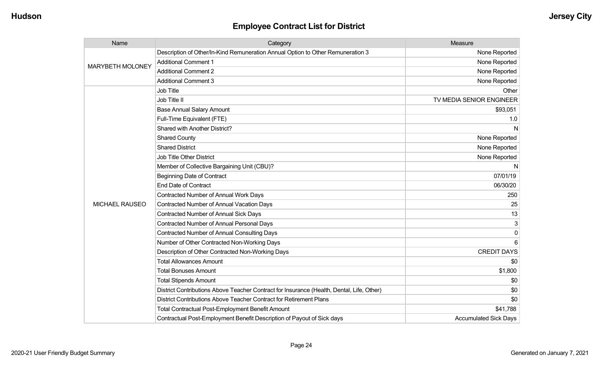| Name                    | Category                                                                                  | Measure                      |
|-------------------------|-------------------------------------------------------------------------------------------|------------------------------|
| <b>MARYBETH MOLONEY</b> | Description of Other/In-Kind Remuneration Annual Option to Other Remuneration 3           | None Reported                |
|                         | <b>Additional Comment 1</b>                                                               | None Reported                |
|                         | <b>Additional Comment 2</b>                                                               | None Reported                |
|                         | <b>Additional Comment 3</b>                                                               | None Reported                |
|                         | Job Title                                                                                 | Other                        |
|                         | Job Title II                                                                              | TV MEDIA SENIOR ENGINEER     |
|                         | <b>Base Annual Salary Amount</b>                                                          | \$93,051                     |
|                         | Full-Time Equivalent (FTE)                                                                | 1.0                          |
|                         | Shared with Another District?                                                             | N                            |
|                         | <b>Shared County</b>                                                                      | None Reported                |
|                         | <b>Shared District</b>                                                                    | None Reported                |
|                         | Job Title Other District                                                                  | None Reported                |
|                         | Member of Collective Bargaining Unit (CBU)?                                               | N                            |
|                         | <b>Beginning Date of Contract</b>                                                         | 07/01/19                     |
|                         | <b>End Date of Contract</b>                                                               | 06/30/20                     |
|                         | <b>Contracted Number of Annual Work Days</b>                                              | 250                          |
| <b>MICHAEL RAUSEO</b>   | Contracted Number of Annual Vacation Days                                                 | 25                           |
|                         | Contracted Number of Annual Sick Days                                                     | 13                           |
|                         | <b>Contracted Number of Annual Personal Days</b>                                          | 3                            |
|                         | <b>Contracted Number of Annual Consulting Days</b>                                        | $\mathbf 0$                  |
|                         | Number of Other Contracted Non-Working Days                                               | 6                            |
|                         | Description of Other Contracted Non-Working Days                                          | <b>CREDIT DAYS</b>           |
|                         | <b>Total Allowances Amount</b>                                                            | \$0                          |
|                         | <b>Total Bonuses Amount</b>                                                               | \$1,800                      |
|                         | <b>Total Stipends Amount</b>                                                              | \$0                          |
|                         | District Contributions Above Teacher Contract for Insurance (Health, Dental, Life, Other) | \$0                          |
|                         | District Contributions Above Teacher Contract for Retirement Plans                        | \$0                          |
|                         | <b>Total Contractual Post-Employment Benefit Amount</b>                                   | \$41,788                     |
|                         | Contractual Post-Employment Benefit Description of Payout of Sick days                    | <b>Accumulated Sick Days</b> |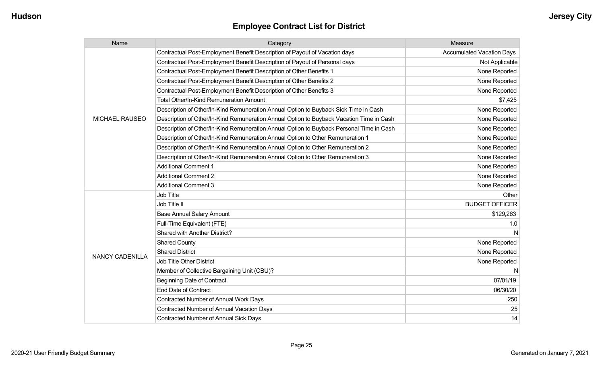| Name                   | Category                                                                                 | Measure                          |
|------------------------|------------------------------------------------------------------------------------------|----------------------------------|
|                        | Contractual Post-Employment Benefit Description of Payout of Vacation days               | <b>Accumulated Vacation Days</b> |
|                        | Contractual Post-Employment Benefit Description of Payout of Personal days               | Not Applicable                   |
|                        | Contractual Post-Employment Benefit Description of Other Benefits 1                      | None Reported                    |
|                        | Contractual Post-Employment Benefit Description of Other Benefits 2                      | None Reported                    |
|                        | Contractual Post-Employment Benefit Description of Other Benefits 3                      | None Reported                    |
|                        | Total Other/In-Kind Remuneration Amount                                                  | \$7,425                          |
|                        | Description of Other/In-Kind Remuneration Annual Option to Buyback Sick Time in Cash     | None Reported                    |
| <b>MICHAEL RAUSEO</b>  | Description of Other/In-Kind Remuneration Annual Option to Buyback Vacation Time in Cash | None Reported                    |
|                        | Description of Other/In-Kind Remuneration Annual Option to Buyback Personal Time in Cash | None Reported                    |
|                        | Description of Other/In-Kind Remuneration Annual Option to Other Remuneration 1          | None Reported                    |
|                        | Description of Other/In-Kind Remuneration Annual Option to Other Remuneration 2          | None Reported                    |
|                        | Description of Other/In-Kind Remuneration Annual Option to Other Remuneration 3          | None Reported                    |
|                        | <b>Additional Comment 1</b>                                                              | None Reported                    |
|                        | <b>Additional Comment 2</b>                                                              | None Reported                    |
|                        | <b>Additional Comment 3</b>                                                              | None Reported                    |
|                        | <b>Job Title</b>                                                                         | Other                            |
|                        | Job Title II                                                                             | <b>BUDGET OFFICER</b>            |
|                        | <b>Base Annual Salary Amount</b>                                                         | \$129,263                        |
|                        | Full-Time Equivalent (FTE)                                                               | 1.0                              |
|                        | Shared with Another District?                                                            |                                  |
|                        | <b>Shared County</b>                                                                     | None Reported                    |
| <b>NANCY CADENILLA</b> | <b>Shared District</b>                                                                   | None Reported                    |
|                        | <b>Job Title Other District</b>                                                          | None Reported                    |
|                        | Member of Collective Bargaining Unit (CBU)?                                              | N                                |
|                        | <b>Beginning Date of Contract</b>                                                        | 07/01/19                         |
|                        | <b>End Date of Contract</b>                                                              | 06/30/20                         |
|                        | Contracted Number of Annual Work Days                                                    | 250                              |
|                        | <b>Contracted Number of Annual Vacation Days</b>                                         | 25                               |
|                        | <b>Contracted Number of Annual Sick Days</b>                                             | 14                               |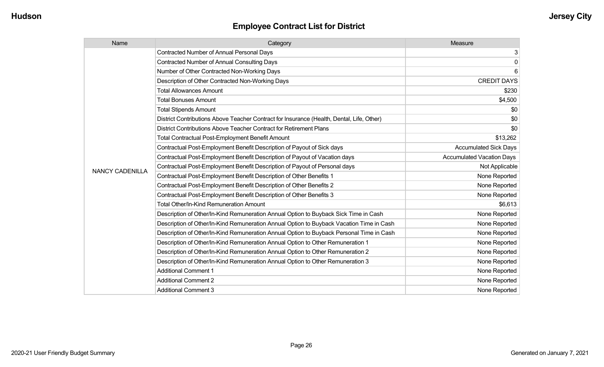| Name                   | Category                                                                                  | Measure                          |
|------------------------|-------------------------------------------------------------------------------------------|----------------------------------|
|                        | <b>Contracted Number of Annual Personal Days</b>                                          | 3                                |
|                        | <b>Contracted Number of Annual Consulting Days</b>                                        | $\mathbf 0$                      |
|                        | Number of Other Contracted Non-Working Days                                               | 6                                |
|                        | Description of Other Contracted Non-Working Days                                          | <b>CREDIT DAYS</b>               |
|                        | <b>Total Allowances Amount</b>                                                            | \$230                            |
|                        | <b>Total Bonuses Amount</b>                                                               | \$4,500                          |
|                        | <b>Total Stipends Amount</b>                                                              | \$0                              |
|                        | District Contributions Above Teacher Contract for Insurance (Health, Dental, Life, Other) | \$0                              |
|                        | District Contributions Above Teacher Contract for Retirement Plans                        | \$0                              |
|                        | <b>Total Contractual Post-Employment Benefit Amount</b>                                   | \$13,262                         |
|                        | Contractual Post-Employment Benefit Description of Payout of Sick days                    | <b>Accumulated Sick Days</b>     |
|                        | Contractual Post-Employment Benefit Description of Payout of Vacation days                | <b>Accumulated Vacation Days</b> |
| <b>NANCY CADENILLA</b> | Contractual Post-Employment Benefit Description of Payout of Personal days                | Not Applicable                   |
|                        | Contractual Post-Employment Benefit Description of Other Benefits 1                       | None Reported                    |
|                        | Contractual Post-Employment Benefit Description of Other Benefits 2                       | None Reported                    |
|                        | Contractual Post-Employment Benefit Description of Other Benefits 3                       | None Reported                    |
|                        | Total Other/In-Kind Remuneration Amount                                                   | \$6,613                          |
|                        | Description of Other/In-Kind Remuneration Annual Option to Buyback Sick Time in Cash      | None Reported                    |
|                        | Description of Other/In-Kind Remuneration Annual Option to Buyback Vacation Time in Cash  | None Reported                    |
|                        | Description of Other/In-Kind Remuneration Annual Option to Buyback Personal Time in Cash  | None Reported                    |
|                        | Description of Other/In-Kind Remuneration Annual Option to Other Remuneration 1           | None Reported                    |
|                        | Description of Other/In-Kind Remuneration Annual Option to Other Remuneration 2           | None Reported                    |
|                        | Description of Other/In-Kind Remuneration Annual Option to Other Remuneration 3           | None Reported                    |
|                        | <b>Additional Comment 1</b>                                                               | None Reported                    |
|                        | <b>Additional Comment 2</b>                                                               | None Reported                    |
|                        | <b>Additional Comment 3</b>                                                               | None Reported                    |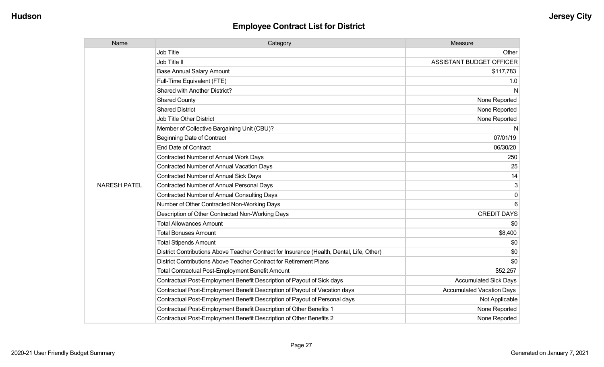| Name                | Category                                                                                  | Measure                          |
|---------------------|-------------------------------------------------------------------------------------------|----------------------------------|
|                     | Job Title                                                                                 | Other                            |
|                     | Job Title II                                                                              | ASSISTANT BUDGET OFFICER         |
|                     | <b>Base Annual Salary Amount</b>                                                          | \$117,783                        |
|                     | Full-Time Equivalent (FTE)                                                                | 1.0                              |
|                     | Shared with Another District?                                                             | N                                |
|                     | <b>Shared County</b>                                                                      | None Reported                    |
|                     | <b>Shared District</b>                                                                    | None Reported                    |
|                     | <b>Job Title Other District</b>                                                           | None Reported                    |
|                     | Member of Collective Bargaining Unit (CBU)?                                               | N                                |
|                     | <b>Beginning Date of Contract</b>                                                         | 07/01/19                         |
|                     | <b>End Date of Contract</b>                                                               | 06/30/20                         |
|                     | Contracted Number of Annual Work Days                                                     | 250                              |
|                     | <b>Contracted Number of Annual Vacation Days</b>                                          | 25                               |
|                     | <b>Contracted Number of Annual Sick Days</b>                                              | 14                               |
| <b>NARESH PATEL</b> | <b>Contracted Number of Annual Personal Days</b>                                          | 3                                |
|                     | <b>Contracted Number of Annual Consulting Days</b>                                        | $\mathbf 0$                      |
|                     | Number of Other Contracted Non-Working Days                                               |                                  |
|                     | Description of Other Contracted Non-Working Days                                          | <b>CREDIT DAYS</b>               |
|                     | <b>Total Allowances Amount</b>                                                            | \$0                              |
|                     | <b>Total Bonuses Amount</b>                                                               | \$8,400                          |
|                     | <b>Total Stipends Amount</b>                                                              | \$0                              |
|                     | District Contributions Above Teacher Contract for Insurance (Health, Dental, Life, Other) | \$0                              |
|                     | District Contributions Above Teacher Contract for Retirement Plans                        | \$0                              |
|                     | Total Contractual Post-Employment Benefit Amount                                          | \$52,257                         |
|                     | Contractual Post-Employment Benefit Description of Payout of Sick days                    | <b>Accumulated Sick Days</b>     |
|                     | Contractual Post-Employment Benefit Description of Payout of Vacation days                | <b>Accumulated Vacation Days</b> |
|                     | Contractual Post-Employment Benefit Description of Payout of Personal days                | Not Applicable                   |
|                     | Contractual Post-Employment Benefit Description of Other Benefits 1                       | None Reported                    |
|                     | Contractual Post-Employment Benefit Description of Other Benefits 2                       | None Reported                    |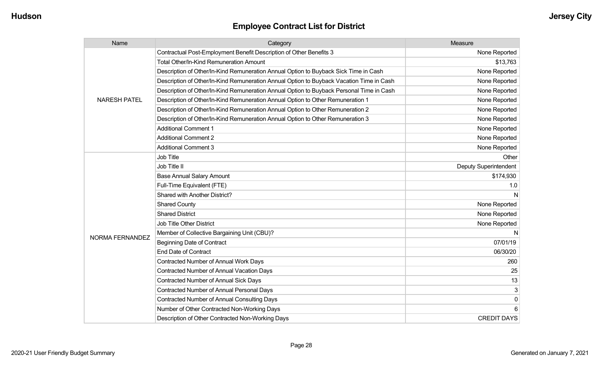| Name                | Category                                                                                 | Measure               |
|---------------------|------------------------------------------------------------------------------------------|-----------------------|
|                     | Contractual Post-Employment Benefit Description of Other Benefits 3                      | None Reported         |
|                     | <b>Total Other/In-Kind Remuneration Amount</b>                                           | \$13,763              |
|                     | Description of Other/In-Kind Remuneration Annual Option to Buyback Sick Time in Cash     | None Reported         |
|                     | Description of Other/In-Kind Remuneration Annual Option to Buyback Vacation Time in Cash | None Reported         |
|                     | Description of Other/In-Kind Remuneration Annual Option to Buyback Personal Time in Cash | None Reported         |
| <b>NARESH PATEL</b> | Description of Other/In-Kind Remuneration Annual Option to Other Remuneration 1          | None Reported         |
|                     | Description of Other/In-Kind Remuneration Annual Option to Other Remuneration 2          | None Reported         |
|                     | Description of Other/In-Kind Remuneration Annual Option to Other Remuneration 3          | None Reported         |
|                     | <b>Additional Comment 1</b>                                                              | None Reported         |
|                     | <b>Additional Comment 2</b>                                                              | None Reported         |
|                     | <b>Additional Comment 3</b>                                                              | None Reported         |
|                     | <b>Job Title</b>                                                                         | Other                 |
|                     | Job Title II                                                                             | Deputy Superintendent |
|                     | <b>Base Annual Salary Amount</b>                                                         | \$174,930             |
|                     | Full-Time Equivalent (FTE)                                                               | 1.0                   |
|                     | Shared with Another District?                                                            |                       |
|                     | <b>Shared County</b>                                                                     | None Reported         |
|                     | <b>Shared District</b>                                                                   | None Reported         |
|                     | Job Title Other District                                                                 | None Reported         |
| NORMA FERNANDEZ     | Member of Collective Bargaining Unit (CBU)?                                              |                       |
|                     | <b>Beginning Date of Contract</b>                                                        | 07/01/19              |
|                     | <b>End Date of Contract</b>                                                              | 06/30/20              |
|                     | Contracted Number of Annual Work Days                                                    | 260                   |
|                     | <b>Contracted Number of Annual Vacation Days</b>                                         | 25                    |
|                     | Contracted Number of Annual Sick Days                                                    | 13                    |
|                     | Contracted Number of Annual Personal Days                                                | 3                     |
|                     | <b>Contracted Number of Annual Consulting Days</b>                                       | $\mathbf 0$           |
|                     | Number of Other Contracted Non-Working Days                                              | 6                     |
|                     | Description of Other Contracted Non-Working Days                                         | <b>CREDIT DAYS</b>    |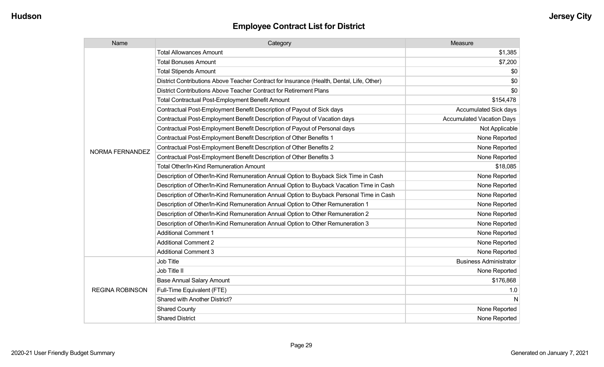| Name                   | Category                                                                                  | Measure                          |
|------------------------|-------------------------------------------------------------------------------------------|----------------------------------|
|                        | <b>Total Allowances Amount</b>                                                            | \$1,385                          |
|                        | <b>Total Bonuses Amount</b>                                                               | \$7,200                          |
|                        | <b>Total Stipends Amount</b>                                                              | \$0                              |
|                        | District Contributions Above Teacher Contract for Insurance (Health, Dental, Life, Other) | \$0                              |
|                        | District Contributions Above Teacher Contract for Retirement Plans                        | \$0                              |
|                        | <b>Total Contractual Post-Employment Benefit Amount</b>                                   | \$154,478                        |
|                        | Contractual Post-Employment Benefit Description of Payout of Sick days                    | <b>Accumulated Sick days</b>     |
|                        | Contractual Post-Employment Benefit Description of Payout of Vacation days                | <b>Accumulated Vacation Days</b> |
|                        | Contractual Post-Employment Benefit Description of Payout of Personal days                | Not Applicable                   |
|                        | Contractual Post-Employment Benefit Description of Other Benefits 1                       | None Reported                    |
| <b>NORMA FERNANDEZ</b> | Contractual Post-Employment Benefit Description of Other Benefits 2                       | None Reported                    |
|                        | Contractual Post-Employment Benefit Description of Other Benefits 3                       | None Reported                    |
|                        | <b>Total Other/In-Kind Remuneration Amount</b>                                            | \$18,085                         |
|                        | Description of Other/In-Kind Remuneration Annual Option to Buyback Sick Time in Cash      | None Reported                    |
|                        | Description of Other/In-Kind Remuneration Annual Option to Buyback Vacation Time in Cash  | None Reported                    |
|                        | Description of Other/In-Kind Remuneration Annual Option to Buyback Personal Time in Cash  | None Reported                    |
|                        | Description of Other/In-Kind Remuneration Annual Option to Other Remuneration 1           | None Reported                    |
|                        | Description of Other/In-Kind Remuneration Annual Option to Other Remuneration 2           | None Reported                    |
|                        | Description of Other/In-Kind Remuneration Annual Option to Other Remuneration 3           | None Reported                    |
|                        | <b>Additional Comment 1</b>                                                               | None Reported                    |
|                        | <b>Additional Comment 2</b>                                                               | None Reported                    |
|                        | <b>Additional Comment 3</b>                                                               | None Reported                    |
|                        | Job Title                                                                                 | <b>Business Administrator</b>    |
| <b>REGINA ROBINSON</b> | Job Title II                                                                              | None Reported                    |
|                        | <b>Base Annual Salary Amount</b>                                                          | \$176,868                        |
|                        | Full-Time Equivalent (FTE)                                                                | 1.0                              |
|                        | <b>Shared with Another District?</b>                                                      | N                                |
|                        | <b>Shared County</b>                                                                      | None Reported                    |
|                        | <b>Shared District</b>                                                                    | None Reported                    |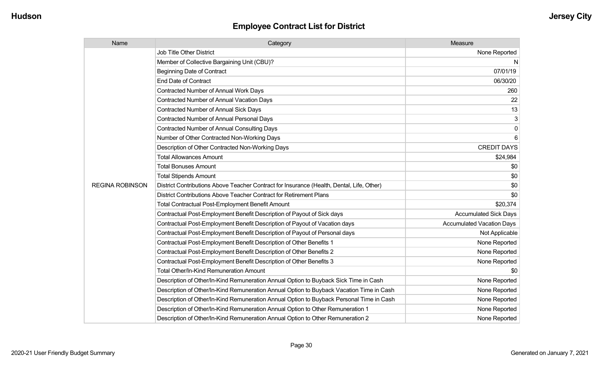| Name                   | Category                                                                                  | Measure                          |
|------------------------|-------------------------------------------------------------------------------------------|----------------------------------|
|                        | <b>Job Title Other District</b>                                                           | None Reported                    |
|                        | Member of Collective Bargaining Unit (CBU)?                                               | N                                |
|                        | <b>Beginning Date of Contract</b>                                                         | 07/01/19                         |
|                        | <b>End Date of Contract</b>                                                               | 06/30/20                         |
|                        | <b>Contracted Number of Annual Work Days</b>                                              | 260                              |
|                        | Contracted Number of Annual Vacation Days                                                 | 22                               |
|                        | <b>Contracted Number of Annual Sick Days</b>                                              | 13                               |
|                        | <b>Contracted Number of Annual Personal Days</b>                                          | 3                                |
|                        | <b>Contracted Number of Annual Consulting Days</b>                                        | $\mathbf 0$                      |
|                        | Number of Other Contracted Non-Working Days                                               | 6                                |
|                        | Description of Other Contracted Non-Working Days                                          | <b>CREDIT DAYS</b>               |
|                        | <b>Total Allowances Amount</b>                                                            | \$24,984                         |
|                        | <b>Total Bonuses Amount</b>                                                               | \$0                              |
|                        | <b>Total Stipends Amount</b>                                                              | \$0                              |
| <b>REGINA ROBINSON</b> | District Contributions Above Teacher Contract for Insurance (Health, Dental, Life, Other) | \$0                              |
|                        | District Contributions Above Teacher Contract for Retirement Plans                        | \$0                              |
|                        | Total Contractual Post-Employment Benefit Amount                                          | \$20,374                         |
|                        | Contractual Post-Employment Benefit Description of Payout of Sick days                    | <b>Accumulated Sick Days</b>     |
|                        | Contractual Post-Employment Benefit Description of Payout of Vacation days                | <b>Accumulated Vacation Days</b> |
|                        | Contractual Post-Employment Benefit Description of Payout of Personal days                | Not Applicable                   |
|                        | Contractual Post-Employment Benefit Description of Other Benefits 1                       | None Reported                    |
|                        | Contractual Post-Employment Benefit Description of Other Benefits 2                       | None Reported                    |
|                        | Contractual Post-Employment Benefit Description of Other Benefits 3                       | None Reported                    |
|                        | Total Other/In-Kind Remuneration Amount                                                   | \$0                              |
|                        | Description of Other/In-Kind Remuneration Annual Option to Buyback Sick Time in Cash      | None Reported                    |
|                        | Description of Other/In-Kind Remuneration Annual Option to Buyback Vacation Time in Cash  | None Reported                    |
|                        | Description of Other/In-Kind Remuneration Annual Option to Buyback Personal Time in Cash  | None Reported                    |
|                        | Description of Other/In-Kind Remuneration Annual Option to Other Remuneration 1           | None Reported                    |
|                        | Description of Other/In-Kind Remuneration Annual Option to Other Remuneration 2           | None Reported                    |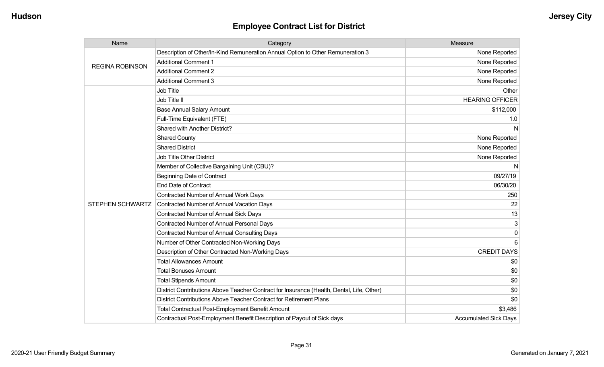| Name                    | Category                                                                                  | Measure                      |
|-------------------------|-------------------------------------------------------------------------------------------|------------------------------|
| <b>REGINA ROBINSON</b>  | Description of Other/In-Kind Remuneration Annual Option to Other Remuneration 3           | None Reported                |
|                         | <b>Additional Comment 1</b>                                                               | None Reported                |
|                         | <b>Additional Comment 2</b>                                                               | None Reported                |
|                         | <b>Additional Comment 3</b>                                                               | None Reported                |
|                         | Job Title                                                                                 | Other                        |
|                         | Job Title II                                                                              | <b>HEARING OFFICER</b>       |
|                         | <b>Base Annual Salary Amount</b>                                                          | \$112,000                    |
|                         | Full-Time Equivalent (FTE)                                                                | 1.0                          |
|                         | Shared with Another District?                                                             | N                            |
|                         | <b>Shared County</b>                                                                      | None Reported                |
|                         | <b>Shared District</b>                                                                    | None Reported                |
|                         | <b>Job Title Other District</b>                                                           | None Reported                |
|                         | Member of Collective Bargaining Unit (CBU)?                                               | N                            |
|                         | <b>Beginning Date of Contract</b>                                                         | 09/27/19                     |
|                         | <b>End Date of Contract</b>                                                               | 06/30/20                     |
|                         | <b>Contracted Number of Annual Work Days</b>                                              | 250                          |
| <b>STEPHEN SCHWARTZ</b> | <b>Contracted Number of Annual Vacation Days</b>                                          | 22                           |
|                         | Contracted Number of Annual Sick Days                                                     | 13                           |
|                         | <b>Contracted Number of Annual Personal Days</b>                                          | 3                            |
|                         | <b>Contracted Number of Annual Consulting Days</b>                                        | $\Omega$                     |
|                         | Number of Other Contracted Non-Working Days                                               | 6                            |
|                         | Description of Other Contracted Non-Working Days                                          | <b>CREDIT DAYS</b>           |
|                         | <b>Total Allowances Amount</b>                                                            | \$0                          |
|                         | <b>Total Bonuses Amount</b>                                                               | \$0                          |
|                         | <b>Total Stipends Amount</b>                                                              | \$0                          |
|                         | District Contributions Above Teacher Contract for Insurance (Health, Dental, Life, Other) | \$0                          |
|                         | District Contributions Above Teacher Contract for Retirement Plans                        | \$0                          |
|                         | <b>Total Contractual Post-Employment Benefit Amount</b>                                   | \$3,486                      |
|                         | Contractual Post-Employment Benefit Description of Payout of Sick days                    | <b>Accumulated Sick Days</b> |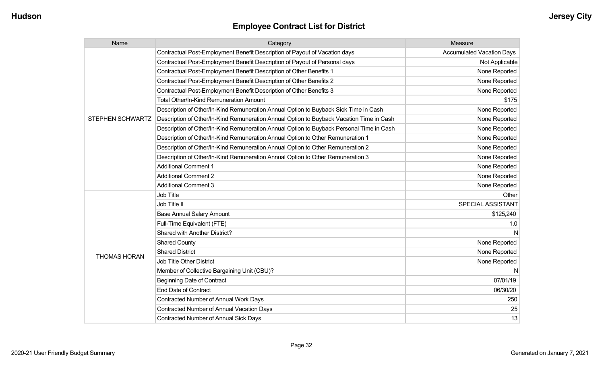| Name                    | Category                                                                                 | Measure                          |
|-------------------------|------------------------------------------------------------------------------------------|----------------------------------|
|                         | Contractual Post-Employment Benefit Description of Payout of Vacation days               | <b>Accumulated Vacation Days</b> |
|                         | Contractual Post-Employment Benefit Description of Payout of Personal days               | Not Applicable                   |
|                         | Contractual Post-Employment Benefit Description of Other Benefits 1                      | None Reported                    |
|                         | Contractual Post-Employment Benefit Description of Other Benefits 2                      | None Reported                    |
|                         | Contractual Post-Employment Benefit Description of Other Benefits 3                      | None Reported                    |
|                         | Total Other/In-Kind Remuneration Amount                                                  | \$175                            |
|                         | Description of Other/In-Kind Remuneration Annual Option to Buyback Sick Time in Cash     | None Reported                    |
| <b>STEPHEN SCHWARTZ</b> | Description of Other/In-Kind Remuneration Annual Option to Buyback Vacation Time in Cash | None Reported                    |
|                         | Description of Other/In-Kind Remuneration Annual Option to Buyback Personal Time in Cash | None Reported                    |
|                         | Description of Other/In-Kind Remuneration Annual Option to Other Remuneration 1          | None Reported                    |
|                         | Description of Other/In-Kind Remuneration Annual Option to Other Remuneration 2          | None Reported                    |
|                         | Description of Other/In-Kind Remuneration Annual Option to Other Remuneration 3          | None Reported                    |
|                         | <b>Additional Comment 1</b>                                                              | None Reported                    |
|                         | <b>Additional Comment 2</b>                                                              | None Reported                    |
|                         | <b>Additional Comment 3</b>                                                              | None Reported                    |
|                         | Job Title                                                                                | Other                            |
|                         | Job Title II                                                                             | SPECIAL ASSISTANT                |
|                         | <b>Base Annual Salary Amount</b>                                                         | \$125,240                        |
|                         | Full-Time Equivalent (FTE)                                                               | 1.0                              |
|                         | Shared with Another District?                                                            |                                  |
|                         | <b>Shared County</b>                                                                     | None Reported                    |
| <b>THOMAS HORAN</b>     | <b>Shared District</b>                                                                   | None Reported                    |
|                         | Job Title Other District                                                                 | None Reported                    |
|                         | Member of Collective Bargaining Unit (CBU)?                                              | N                                |
|                         | <b>Beginning Date of Contract</b>                                                        | 07/01/19                         |
|                         | <b>End Date of Contract</b>                                                              | 06/30/20                         |
|                         | Contracted Number of Annual Work Days                                                    | 250                              |
|                         | <b>Contracted Number of Annual Vacation Days</b>                                         | 25                               |
|                         | Contracted Number of Annual Sick Days                                                    | 13                               |